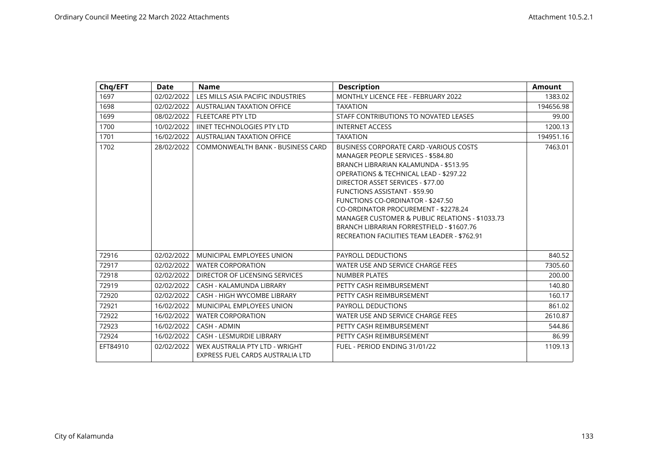| Chq/EFT  | <b>Date</b> | <b>Name</b>                                                        | <b>Description</b>                                                                                                                                                                                                                                                                                                                                                                                                                                                                           | <b>Amount</b> |
|----------|-------------|--------------------------------------------------------------------|----------------------------------------------------------------------------------------------------------------------------------------------------------------------------------------------------------------------------------------------------------------------------------------------------------------------------------------------------------------------------------------------------------------------------------------------------------------------------------------------|---------------|
| 1697     | 02/02/2022  | LES MILLS ASIA PACIFIC INDUSTRIES                                  | MONTHLY LICENCE FEE - FEBRUARY 2022                                                                                                                                                                                                                                                                                                                                                                                                                                                          | 1383.02       |
| 1698     | 02/02/2022  | <b>AUSTRALIAN TAXATION OFFICE</b>                                  | <b>TAXATION</b>                                                                                                                                                                                                                                                                                                                                                                                                                                                                              | 194656.98     |
| 1699     | 08/02/2022  | <b>FLEETCARE PTY LTD</b>                                           | STAFF CONTRIBUTIONS TO NOVATED LEASES                                                                                                                                                                                                                                                                                                                                                                                                                                                        | 99.00         |
| 1700     | 10/02/2022  | <b>IINET TECHNOLOGIES PTY LTD</b>                                  | <b>INTERNET ACCESS</b>                                                                                                                                                                                                                                                                                                                                                                                                                                                                       | 1200.13       |
| 1701     | 16/02/2022  | <b>AUSTRALIAN TAXATION OFFICE</b>                                  | <b>TAXATION</b>                                                                                                                                                                                                                                                                                                                                                                                                                                                                              | 194951.16     |
| 1702     | 28/02/2022  | COMMONWEALTH BANK - BUSINESS CARD                                  | BUSINESS CORPORATE CARD - VARIOUS COSTS<br>MANAGER PEOPLE SERVICES - \$584.80<br>BRANCH LIBRARIAN KALAMUNDA - \$513.95<br><b>OPERATIONS &amp; TECHNICAL LEAD - \$297.22</b><br>DIRECTOR ASSET SERVICES - \$77.00<br><b>FUNCTIONS ASSISTANT - \$59.90</b><br><b>FUNCTIONS CO-ORDINATOR - \$247.50</b><br>CO-ORDINATOR PROCUREMENT - \$2278.24<br>MANAGER CUSTOMER & PUBLIC RELATIONS - \$1033.73<br>BRANCH LIBRARIAN FORRESTFIELD - \$1607.76<br>RECREATION FACILITIES TEAM LEADER - \$762.91 | 7463.01       |
| 72916    | 02/02/2022  | MUNICIPAL EMPLOYEES UNION                                          | PAYROLL DEDUCTIONS                                                                                                                                                                                                                                                                                                                                                                                                                                                                           | 840.52        |
| 72917    | 02/02/2022  | <b>WATER CORPORATION</b>                                           | WATER USE AND SERVICE CHARGE FEES                                                                                                                                                                                                                                                                                                                                                                                                                                                            | 7305.60       |
| 72918    | 02/02/2022  | DIRECTOR OF LICENSING SERVICES                                     | <b>NUMBER PLATES</b>                                                                                                                                                                                                                                                                                                                                                                                                                                                                         | 200.00        |
| 72919    | 02/02/2022  | CASH - KALAMUNDA LIBRARY                                           | PETTY CASH REIMBURSEMENT                                                                                                                                                                                                                                                                                                                                                                                                                                                                     | 140.80        |
| 72920    | 02/02/2022  | CASH - HIGH WYCOMBE LIBRARY                                        | PETTY CASH REIMBURSEMENT                                                                                                                                                                                                                                                                                                                                                                                                                                                                     | 160.17        |
| 72921    | 16/02/2022  | MUNICIPAL EMPLOYEES UNION                                          | <b>PAYROLL DEDUCTIONS</b>                                                                                                                                                                                                                                                                                                                                                                                                                                                                    | 861.02        |
| 72922    | 16/02/2022  | <b>WATER CORPORATION</b>                                           | WATER USE AND SERVICE CHARGE FEES                                                                                                                                                                                                                                                                                                                                                                                                                                                            | 2610.87       |
| 72923    | 16/02/2022  | <b>CASH - ADMIN</b>                                                | PETTY CASH REIMBURSEMENT                                                                                                                                                                                                                                                                                                                                                                                                                                                                     | 544.86        |
| 72924    | 16/02/2022  | <b>CASH - LESMURDIE LIBRARY</b>                                    | PETTY CASH REIMBURSEMENT                                                                                                                                                                                                                                                                                                                                                                                                                                                                     | 86.99         |
| EFT84910 | 02/02/2022  | WEX AUSTRALIA PTY LTD - WRIGHT<br>EXPRESS FUEL CARDS AUSTRALIA LTD | FUEL - PERIOD ENDING 31/01/22                                                                                                                                                                                                                                                                                                                                                                                                                                                                | 1109.13       |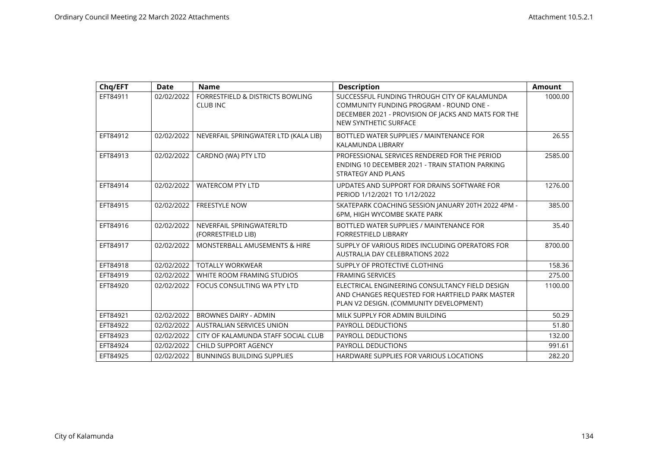| Chq/EFT  | <b>Date</b> | <b>Name</b>                                         | <b>Description</b>                                                                                                                                                      | <b>Amount</b> |
|----------|-------------|-----------------------------------------------------|-------------------------------------------------------------------------------------------------------------------------------------------------------------------------|---------------|
| EFT84911 | 02/02/2022  | FORRESTFIELD & DISTRICTS BOWLING<br><b>CLUB INC</b> | SUCCESSFUL FUNDING THROUGH CITY OF KALAMUNDA<br>COMMUNITY FUNDING PROGRAM - ROUND ONE -<br>DECEMBER 2021 - PROVISION OF JACKS AND MATS FOR THE<br>NEW SYNTHETIC SURFACE | 1000.00       |
| EFT84912 | 02/02/2022  | NEVERFAIL SPRINGWATER LTD (KALA LIB)                | BOTTLED WATER SUPPLIES / MAINTENANCE FOR<br>KALAMUNDA LIBRARY                                                                                                           | 26.55         |
| EFT84913 | 02/02/2022  | CARDNO (WA) PTY LTD                                 | PROFESSIONAL SERVICES RENDERED FOR THE PERIOD<br>ENDING 10 DECEMBER 2021 - TRAIN STATION PARKING<br><b>STRATEGY AND PLANS</b>                                           | 2585.00       |
| EFT84914 | 02/02/2022  | <b>WATERCOM PTY LTD</b>                             | UPDATES AND SUPPORT FOR DRAINS SOFTWARE FOR<br>PERIOD 1/12/2021 TO 1/12/2022                                                                                            | 1276.00       |
| EFT84915 | 02/02/2022  | <b>FREESTYLE NOW</b>                                | SKATEPARK COACHING SESSION JANUARY 20TH 2022 4PM -<br>6PM, HIGH WYCOMBE SKATE PARK                                                                                      | 385.00        |
| EFT84916 | 02/02/2022  | NEVERFAIL SPRINGWATERLTD<br>(FORRESTFIELD LIB)      | BOTTLED WATER SUPPLIES / MAINTENANCE FOR<br><b>FORRESTFIELD LIBRARY</b>                                                                                                 | 35.40         |
| EFT84917 | 02/02/2022  | <b>MONSTERBALL AMUSEMENTS &amp; HIRE</b>            | SUPPLY OF VARIOUS RIDES INCLUDING OPERATORS FOR<br><b>AUSTRALIA DAY CELEBRATIONS 2022</b>                                                                               | 8700.00       |
| EFT84918 | 02/02/2022  | <b>TOTALLY WORKWEAR</b>                             | SUPPLY OF PROTECTIVE CLOTHING                                                                                                                                           | 158.36        |
| EFT84919 | 02/02/2022  | WHITE ROOM FRAMING STUDIOS                          | <b>FRAMING SERVICES</b>                                                                                                                                                 | 275.00        |
| EFT84920 | 02/02/2022  | FOCUS CONSULTING WA PTY LTD                         | ELECTRICAL ENGINEERING CONSULTANCY FIELD DESIGN<br>AND CHANGES REQUESTED FOR HARTFIELD PARK MASTER<br>PLAN V2 DESIGN. (COMMUNITY DEVELOPMENT)                           | 1100.00       |
| EFT84921 | 02/02/2022  | <b>BROWNES DAIRY - ADMIN</b>                        | MILK SUPPLY FOR ADMIN BUILDING                                                                                                                                          | 50.29         |
| EFT84922 | 02/02/2022  | AUSTRALIAN SERVICES UNION                           | PAYROLL DEDUCTIONS                                                                                                                                                      | 51.80         |
| EFT84923 | 02/02/2022  | CITY OF KALAMUNDA STAFF SOCIAL CLUB                 | PAYROLL DEDUCTIONS                                                                                                                                                      | 132.00        |
| EFT84924 | 02/02/2022  | <b>CHILD SUPPORT AGENCY</b>                         | PAYROLL DEDUCTIONS                                                                                                                                                      | 991.61        |
| EFT84925 | 02/02/2022  | <b>BUNNINGS BUILDING SUPPLIES</b>                   | HARDWARE SUPPLIES FOR VARIOUS LOCATIONS                                                                                                                                 | 282.20        |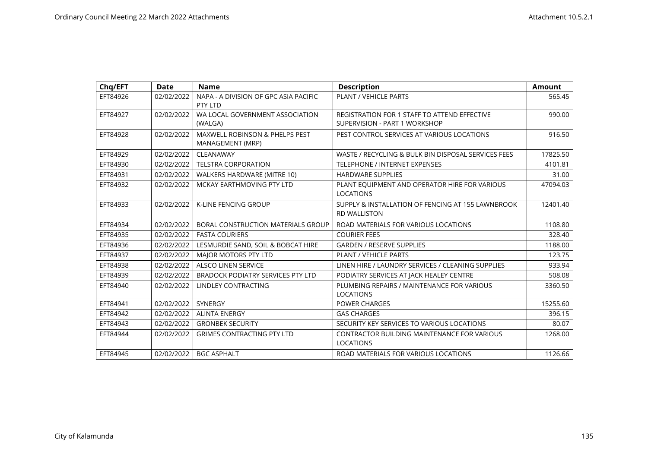| Chq/EFT  | Date       | <b>Name</b>                                                   | <b>Description</b>                                                       | <b>Amount</b> |
|----------|------------|---------------------------------------------------------------|--------------------------------------------------------------------------|---------------|
| EFT84926 | 02/02/2022 | NAPA - A DIVISION OF GPC ASIA PACIFIC<br>PTY LTD              | PLANT / VEHICLE PARTS                                                    | 565.45        |
| EFT84927 | 02/02/2022 | WA LOCAL GOVERNMENT ASSOCIATION                               | <b>REGISTRATION FOR 1 STAFF TO ATTEND EFFECTIVE</b>                      | 990.00        |
|          |            | (WALGA)                                                       | SUPERVISION - PART 1 WORKSHOP                                            |               |
| EFT84928 | 02/02/2022 | <b>MAXWELL ROBINSON &amp; PHELPS PEST</b><br>MANAGEMENT (MRP) | PEST CONTROL SERVICES AT VARIOUS LOCATIONS                               | 916.50        |
| EFT84929 | 02/02/2022 | CLEANAWAY                                                     | WASTE / RECYCLING & BULK BIN DISPOSAL SERVICES FEES                      | 17825.50      |
| EFT84930 | 02/02/2022 | <b>TELSTRA CORPORATION</b>                                    | TELEPHONE / INTERNET EXPENSES                                            | 4101.81       |
| EFT84931 | 02/02/2022 | WALKERS HARDWARE (MITRE 10)                                   | <b>HARDWARE SUPPLIES</b>                                                 | 31.00         |
| EFT84932 | 02/02/2022 | MCKAY EARTHMOVING PTY LTD                                     | PLANT EQUIPMENT AND OPERATOR HIRE FOR VARIOUS<br><b>LOCATIONS</b>        | 47094.03      |
| EFT84933 | 02/02/2022 | K-LINE FENCING GROUP                                          | SUPPLY & INSTALLATION OF FENCING AT 155 LAWNBROOK<br><b>RD WALLISTON</b> | 12401.40      |
| EFT84934 | 02/02/2022 | BORAL CONSTRUCTION MATERIALS GROUP                            | ROAD MATERIALS FOR VARIOUS LOCATIONS                                     | 1108.80       |
| EFT84935 | 02/02/2022 | <b>FASTA COURIERS</b>                                         | <b>COURIER FEES</b>                                                      | 328.40        |
| EFT84936 | 02/02/2022 | LESMURDIE SAND, SOIL & BOBCAT HIRE                            | <b>GARDEN / RESERVE SUPPLIES</b>                                         | 1188.00       |
| EFT84937 | 02/02/2022 | MAJOR MOTORS PTY LTD                                          | PLANT / VEHICLE PARTS                                                    | 123.75        |
| EFT84938 | 02/02/2022 | <b>ALSCO LINEN SERVICE</b>                                    | LINEN HIRE / LAUNDRY SERVICES / CLEANING SUPPLIES                        | 933.94        |
| EFT84939 | 02/02/2022 | BRADOCK PODIATRY SERVICES PTY LTD                             | PODIATRY SERVICES AT JACK HEALEY CENTRE                                  | 508.08        |
| EFT84940 | 02/02/2022 | <b>LINDLEY CONTRACTING</b>                                    | PLUMBING REPAIRS / MAINTENANCE FOR VARIOUS                               | 3360.50       |
|          |            |                                                               | <b>LOCATIONS</b>                                                         |               |
| EFT84941 | 02/02/2022 | <b>SYNERGY</b>                                                | <b>POWER CHARGES</b>                                                     | 15255.60      |
| EFT84942 | 02/02/2022 | <b>ALINTA ENERGY</b>                                          | <b>GAS CHARGES</b>                                                       | 396.15        |
| EFT84943 | 02/02/2022 | <b>GRONBEK SECURITY</b>                                       | SECURITY KEY SERVICES TO VARIOUS LOCATIONS                               | 80.07         |
| EFT84944 | 02/02/2022 | <b>GRIMES CONTRACTING PTY LTD</b>                             | CONTRACTOR BUILDING MAINTENANCE FOR VARIOUS                              | 1268.00       |
|          |            |                                                               | <b>LOCATIONS</b>                                                         |               |
| EFT84945 | 02/02/2022 | <b>BGC ASPHALT</b>                                            | ROAD MATERIALS FOR VARIOUS LOCATIONS                                     | 1126.66       |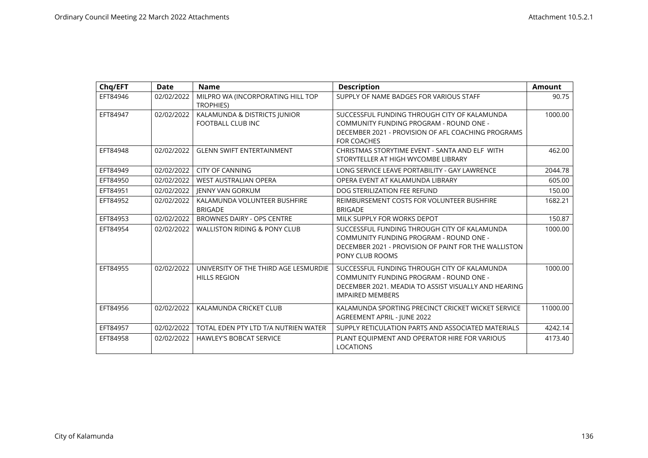| Chq/EFT  | <b>Date</b> | <b>Name</b>                                                  | <b>Description</b>                                                                                                                                                         | <b>Amount</b> |
|----------|-------------|--------------------------------------------------------------|----------------------------------------------------------------------------------------------------------------------------------------------------------------------------|---------------|
| EFT84946 | 02/02/2022  | MILPRO WA (INCORPORATING HILL TOP<br><b>TROPHIES)</b>        | SUPPLY OF NAME BADGES FOR VARIOUS STAFF                                                                                                                                    | 90.75         |
| EFT84947 | 02/02/2022  | KALAMUNDA & DISTRICTS JUNIOR<br>FOOTBALL CLUB INC            | SUCCESSFUL FUNDING THROUGH CITY OF KALAMUNDA<br>COMMUNITY FUNDING PROGRAM - ROUND ONE -<br>DECEMBER 2021 - PROVISION OF AFL COACHING PROGRAMS<br><b>FOR COACHES</b>        | 1000.00       |
| EFT84948 | 02/02/2022  | <b>GLENN SWIFT ENTERTAINMENT</b>                             | CHRISTMAS STORYTIME EVENT - SANTA AND ELF WITH<br>STORYTELLER AT HIGH WYCOMBE LIBRARY                                                                                      | 462.00        |
| EFT84949 | 02/02/2022  | <b>CITY OF CANNING</b>                                       | LONG SERVICE LEAVE PORTABILITY - GAY LAWRENCE                                                                                                                              | 2044.78       |
| EFT84950 | 02/02/2022  | <b>WEST AUSTRALIAN OPERA</b>                                 | OPERA EVENT AT KALAMUNDA LIBRARY                                                                                                                                           | 605.00        |
| EFT84951 | 02/02/2022  | <b>IENNY VAN GORKUM</b>                                      | DOG STERILIZATION FEE REFUND                                                                                                                                               | 150.00        |
| EFT84952 | 02/02/2022  | KALAMUNDA VOLUNTEER BUSHFIRE<br><b>BRIGADE</b>               | REIMBURSEMENT COSTS FOR VOLUNTEER BUSHFIRE<br><b>BRIGADE</b>                                                                                                               | 1682.21       |
| EFT84953 | 02/02/2022  | BROWNES DAIRY - OPS CENTRE                                   | MILK SUPPLY FOR WORKS DEPOT                                                                                                                                                | 150.87        |
| EFT84954 | 02/02/2022  | <b>WALLISTON RIDING &amp; PONY CLUB</b>                      | SUCCESSFUL FUNDING THROUGH CITY OF KALAMUNDA<br>COMMUNITY FUNDING PROGRAM - ROUND ONE -<br>DECEMBER 2021 - PROVISION OF PAINT FOR THE WALLISTON<br>PONY CLUB ROOMS         | 1000.00       |
| EFT84955 | 02/02/2022  | UNIVERSITY OF THE THIRD AGE LESMURDIE<br><b>HILLS REGION</b> | SUCCESSFUL FUNDING THROUGH CITY OF KALAMUNDA<br>COMMUNITY FUNDING PROGRAM - ROUND ONE -<br>DECEMBER 2021, MEADIA TO ASSIST VISUALLY AND HEARING<br><b>IMPAIRED MEMBERS</b> | 1000.00       |
| EFT84956 | 02/02/2022  | KALAMUNDA CRICKET CLUB                                       | KALAMUNDA SPORTING PRECINCT CRICKET WICKET SERVICE<br>AGREEMENT APRIL - JUNE 2022                                                                                          | 11000.00      |
| EFT84957 | 02/02/2022  | TOTAL EDEN PTY LTD T/A NUTRIEN WATER                         | SUPPLY RETICULATION PARTS AND ASSOCIATED MATERIALS                                                                                                                         | 4242.14       |
| EFT84958 | 02/02/2022  | <b>HAWLEY'S BOBCAT SERVICE</b>                               | PLANT EQUIPMENT AND OPERATOR HIRE FOR VARIOUS<br><b>LOCATIONS</b>                                                                                                          | 4173.40       |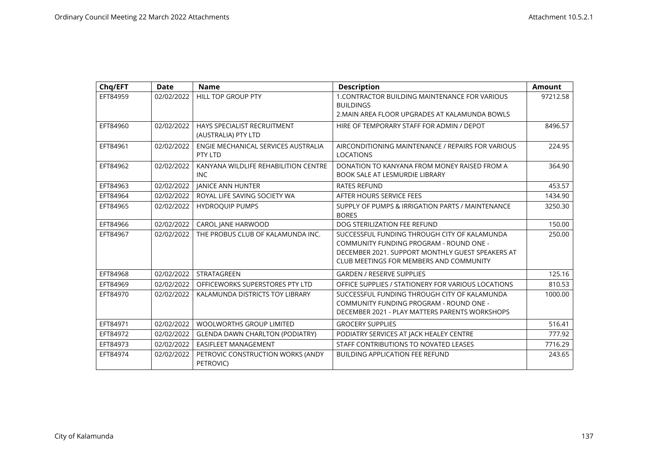| Chq/EFT  | <b>Date</b> | <b>Name</b>                            | <b>Description</b>                                 | <b>Amount</b> |
|----------|-------------|----------------------------------------|----------------------------------------------------|---------------|
| EFT84959 | 02/02/2022  | HILL TOP GROUP PTY                     | 1. CONTRACTOR BUILDING MAINTENANCE FOR VARIOUS     | 97212.58      |
|          |             |                                        | <b>BUILDINGS</b>                                   |               |
|          |             |                                        | 2. MAIN AREA FLOOR UPGRADES AT KALAMUNDA BOWLS     |               |
| EFT84960 | 02/02/2022  | HAYS SPECIALIST RECRUITMENT            | HIRE OF TEMPORARY STAFF FOR ADMIN / DEPOT          | 8496.57       |
|          |             | (AUSTRALIA) PTY LTD                    |                                                    |               |
| EFT84961 | 02/02/2022  | ENGIE MECHANICAL SERVICES AUSTRALIA    | AIRCONDITIONING MAINTENANCE / REPAIRS FOR VARIOUS  | 224.95        |
|          |             | PTY LTD                                | <b>LOCATIONS</b>                                   |               |
| EFT84962 | 02/02/2022  | KANYANA WILDLIFE REHABILITION CENTRE   | DONATION TO KANYANA FROM MONEY RAISED FROM A       | 364.90        |
|          |             | <b>INC</b>                             | <b>BOOK SALE AT LESMURDIE LIBRARY</b>              |               |
| EFT84963 | 02/02/2022  | <b>JANICE ANN HUNTER</b>               | <b>RATES REFUND</b>                                | 453.57        |
| EFT84964 | 02/02/2022  | ROYAL LIFE SAVING SOCIETY WA           | AFTER HOURS SERVICE FEES                           | 1434.90       |
| EFT84965 | 02/02/2022  | <b>HYDROQUIP PUMPS</b>                 | SUPPLY OF PUMPS & IRRIGATION PARTS / MAINTENANCE   | 3250.30       |
|          |             |                                        | <b>BORES</b>                                       |               |
| EFT84966 | 02/02/2022  | CAROL JANE HARWOOD                     | DOG STERILIZATION FEE REFUND                       | 150.00        |
| EFT84967 | 02/02/2022  | THE PROBUS CLUB OF KALAMUNDA INC.      | SUCCESSFUL FUNDING THROUGH CITY OF KALAMUNDA       | 250.00        |
|          |             |                                        | COMMUNITY FUNDING PROGRAM - ROUND ONE -            |               |
|          |             |                                        | DECEMBER 2021. SUPPORT MONTHLY GUEST SPEAKERS AT   |               |
|          |             |                                        | CLUB MEETINGS FOR MEMBERS AND COMMUNITY            |               |
| EFT84968 | 02/02/2022  | STRATAGREEN                            | <b>GARDEN / RESERVE SUPPLIES</b>                   | 125.16        |
| EFT84969 | 02/02/2022  | OFFICEWORKS SUPERSTORES PTY LTD        | OFFICE SUPPLIES / STATIONERY FOR VARIOUS LOCATIONS | 810.53        |
| EFT84970 | 02/02/2022  | KALAMUNDA DISTRICTS TOY LIBRARY        | SUCCESSFUL FUNDING THROUGH CITY OF KALAMUNDA       | 1000.00       |
|          |             |                                        | COMMUNITY FUNDING PROGRAM - ROUND ONE -            |               |
|          |             |                                        | DECEMBER 2021 - PLAY MATTERS PARENTS WORKSHOPS     |               |
| EFT84971 | 02/02/2022  | <b>WOOLWORTHS GROUP LIMITED</b>        | <b>GROCERY SUPPLIES</b>                            | 516.41        |
| EFT84972 | 02/02/2022  | <b>GLENDA DAWN CHARLTON (PODIATRY)</b> | PODIATRY SERVICES AT JACK HEALEY CENTRE            | 777.92        |
| EFT84973 | 02/02/2022  | EASIFLEET MANAGEMENT                   | STAFF CONTRIBUTIONS TO NOVATED LEASES              | 7716.29       |
| EFT84974 | 02/02/2022  | PETROVIC CONSTRUCTION WORKS (ANDY      | <b>BUILDING APPLICATION FEE REFUND</b>             | 243.65        |
|          |             | PETROVIC)                              |                                                    |               |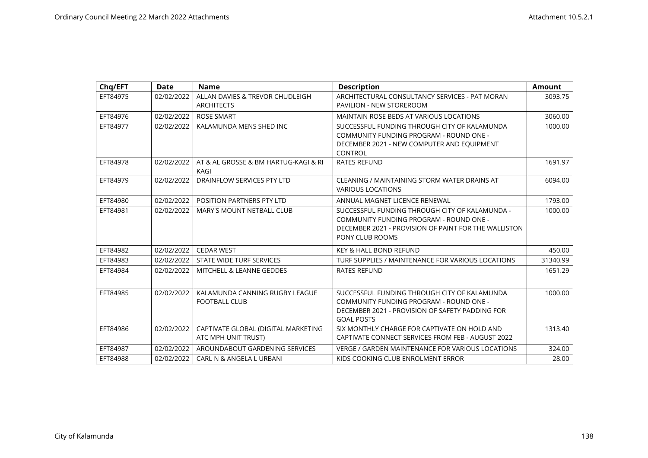| Chq/EFT  | Date       | <b>Name</b>                                                | <b>Description</b>                                                                                                                                                   | <b>Amount</b> |
|----------|------------|------------------------------------------------------------|----------------------------------------------------------------------------------------------------------------------------------------------------------------------|---------------|
| EFT84975 | 02/02/2022 | ALLAN DAVIES & TREVOR CHUDLEIGH<br><b>ARCHITECTS</b>       | ARCHITECTURAL CONSULTANCY SERVICES - PAT MORAN<br><b>PAVILION - NEW STOREROOM</b>                                                                                    | 3093.75       |
| EFT84976 | 02/02/2022 | <b>ROSE SMART</b>                                          | <b>MAINTAIN ROSE BEDS AT VARIOUS LOCATIONS</b>                                                                                                                       | 3060.00       |
| EFT84977 | 02/02/2022 | KALAMUNDA MENS SHED INC                                    | SUCCESSFUL FUNDING THROUGH CITY OF KALAMUNDA<br>COMMUNITY FUNDING PROGRAM - ROUND ONE -<br>DECEMBER 2021 - NEW COMPUTER AND EQUIPMENT<br>CONTROL                     | 1000.00       |
| EFT84978 | 02/02/2022 | AT & AL GROSSE & BM HARTUG-KAGI & RI<br>KAGI               | <b>RATES REFUND</b>                                                                                                                                                  | 1691.97       |
| EFT84979 | 02/02/2022 | DRAINFLOW SERVICES PTY LTD                                 | CLEANING / MAINTAINING STORM WATER DRAINS AT<br><b>VARIOUS LOCATIONS</b>                                                                                             | 6094.00       |
| EFT84980 | 02/02/2022 | POSITION PARTNERS PTY LTD                                  | ANNUAL MAGNET LICENCE RENEWAL                                                                                                                                        | 1793.00       |
| EFT84981 | 02/02/2022 | <b>MARY'S MOUNT NETBALL CLUB</b>                           | SUCCESSFUL FUNDING THROUGH CITY OF KALAMUNDA -<br>COMMUNITY FUNDING PROGRAM - ROUND ONE -<br>DECEMBER 2021 - PROVISION OF PAINT FOR THE WALLISTON<br>PONY CLUB ROOMS | 1000.00       |
| EFT84982 | 02/02/2022 | <b>CEDAR WEST</b>                                          | <b>KEY &amp; HALL BOND REFUND</b>                                                                                                                                    | 450.00        |
| EFT84983 | 02/02/2022 | STATE WIDE TURF SERVICES                                   | TURF SUPPLIES / MAINTENANCE FOR VARIOUS LOCATIONS                                                                                                                    | 31340.99      |
| EFT84984 | 02/02/2022 | <b>MITCHELL &amp; LEANNE GEDDES</b>                        | <b>RATES REFUND</b>                                                                                                                                                  | 1651.29       |
| EFT84985 | 02/02/2022 | KALAMUNDA CANNING RUGBY LEAGUE<br><b>FOOTBALL CLUB</b>     | SUCCESSFUL FUNDING THROUGH CITY OF KALAMUNDA<br>COMMUNITY FUNDING PROGRAM - ROUND ONE -<br>DECEMBER 2021 - PROVISION OF SAFETY PADDING FOR<br><b>GOAL POSTS</b>      | 1000.00       |
| EFT84986 | 02/02/2022 | CAPTIVATE GLOBAL (DIGITAL MARKETING<br>ATC MPH UNIT TRUST) | SIX MONTHLY CHARGE FOR CAPTIVATE ON HOLD AND<br>CAPTIVATE CONNECT SERVICES FROM FEB - AUGUST 2022                                                                    | 1313.40       |
| EFT84987 | 02/02/2022 | AROUNDABOUT GARDENING SERVICES                             | <b>VERGE / GARDEN MAINTENANCE FOR VARIOUS LOCATIONS</b>                                                                                                              | 324.00        |
| EFT84988 | 02/02/2022 | CARL N & ANGELA L URBANI                                   | KIDS COOKING CLUB ENROLMENT ERROR                                                                                                                                    | 28.00         |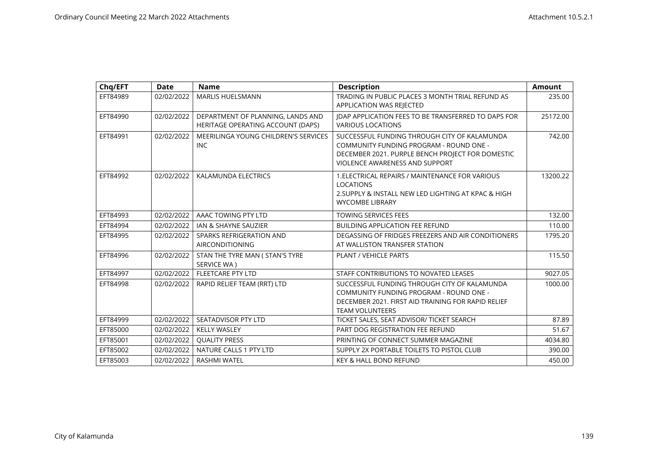| Chq/EFT  | <b>Date</b> | <b>Name</b>                                                            | <b>Description</b>                                                                                                                                                                   | <b>Amount</b> |
|----------|-------------|------------------------------------------------------------------------|--------------------------------------------------------------------------------------------------------------------------------------------------------------------------------------|---------------|
| EFT84989 | 02/02/2022  | <b>MARLIS HUELSMANN</b>                                                | TRADING IN PUBLIC PLACES 3 MONTH TRIAL REFUND AS<br>APPLICATION WAS REJECTED                                                                                                         | 235.00        |
| EFT84990 | 02/02/2022  | DEPARTMENT OF PLANNING, LANDS AND<br>HERITAGE OPERATING ACCOUNT (DAPS) | JDAP APPLICATION FEES TO BE TRANSFERRED TO DAPS FOR<br><b>VARIOUS LOCATIONS</b>                                                                                                      | 25172.00      |
| EFT84991 | 02/02/2022  | MEERILINGA YOUNG CHILDREN'S SERVICES<br><b>INC</b>                     | SUCCESSFUL FUNDING THROUGH CITY OF KALAMUNDA<br>COMMUNITY FUNDING PROGRAM - ROUND ONE -<br>DECEMBER 2021. PURPLE BENCH PROJECT FOR DOMESTIC<br><b>VIOLENCE AWARENESS AND SUPPORT</b> | 742.00        |
| EFT84992 | 02/02/2022  | KALAMUNDA ELECTRICS                                                    | 1. ELECTRICAL REPAIRS / MAINTENANCE FOR VARIOUS<br><b>LOCATIONS</b><br>2. SUPPLY & INSTALL NEW LED LIGHTING AT KPAC & HIGH<br><b>WYCOMBE LIBRARY</b>                                 | 13200.22      |
| EFT84993 | 02/02/2022  | AAAC TOWING PTY LTD                                                    | <b>TOWING SERVICES FEES</b>                                                                                                                                                          | 132.00        |
| EFT84994 | 02/02/2022  | IAN & SHAYNE SAUZIER                                                   | <b>BUILDING APPLICATION FEE REFUND</b>                                                                                                                                               | 110.00        |
| EFT84995 | 02/02/2022  | SPARKS REFRIGERATION AND<br>AIRCONDITIONING                            | DEGASSING OF FRIDGES FREEZERS AND AIR CONDITIONERS<br>AT WALLISTON TRANSFER STATION                                                                                                  | 1795.20       |
| EFT84996 | 02/02/2022  | STAN THE TYRE MAN ( STAN'S TYRE<br>SERVICE WA)                         | PLANT / VEHICLE PARTS                                                                                                                                                                | 115.50        |
| EFT84997 | 02/02/2022  | <b>FLEETCARE PTY LTD</b>                                               | STAFF CONTRIBUTIONS TO NOVATED LEASES                                                                                                                                                | 9027.05       |
| EFT84998 | 02/02/2022  | RAPID RELIEF TEAM (RRT) LTD                                            | SUCCESSFUL FUNDING THROUGH CITY OF KALAMUNDA<br>COMMUNITY FUNDING PROGRAM - ROUND ONE -<br>DECEMBER 2021. FIRST AID TRAINING FOR RAPID RELIEF<br><b>TEAM VOLUNTEERS</b>              | 1000.00       |
| EFT84999 | 02/02/2022  | SEATADVISOR PTY LTD                                                    | TICKET SALES, SEAT ADVISOR/ TICKET SEARCH                                                                                                                                            | 87.89         |
| EFT85000 | 02/02/2022  | <b>KELLY WASLEY</b>                                                    | PART DOG REGISTRATION FEE REFUND                                                                                                                                                     | 51.67         |
| EFT85001 | 02/02/2022  | <b>QUALITY PRESS</b>                                                   | PRINTING OF CONNECT SUMMER MAGAZINE                                                                                                                                                  | 4034.80       |
| EFT85002 | 02/02/2022  | NATURE CALLS 1 PTY LTD                                                 | SUPPLY 2X PORTABLE TOILETS TO PISTOL CLUB                                                                                                                                            | 390.00        |
| EFT85003 | 02/02/2022  | RASHMI WATEL                                                           | <b>KEY &amp; HALL BOND REFUND</b>                                                                                                                                                    | 450.00        |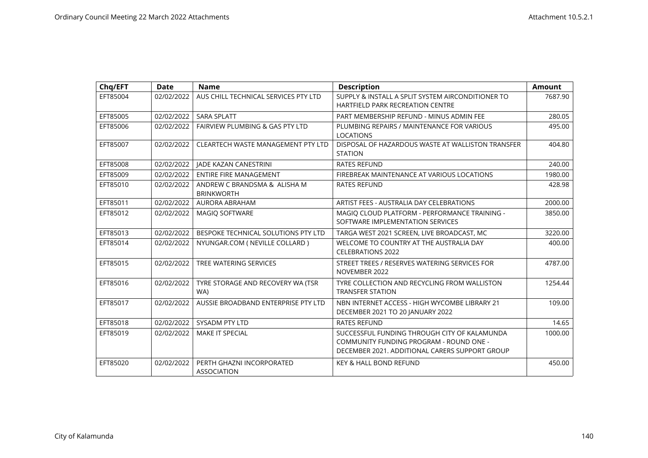| Chq/EFT  | <b>Date</b> | <b>Name</b>                                       | <b>Description</b>                                                                                                                        | <b>Amount</b> |
|----------|-------------|---------------------------------------------------|-------------------------------------------------------------------------------------------------------------------------------------------|---------------|
| EFT85004 | 02/02/2022  | AUS CHILL TECHNICAL SERVICES PTY LTD              | SUPPLY & INSTALL A SPLIT SYSTEM AIRCONDITIONER TO<br>HARTFIELD PARK RECREATION CENTRE                                                     | 7687.90       |
| EFT85005 | 02/02/2022  | <b>SARA SPLATT</b>                                | PART MEMBERSHIP REFUND - MINUS ADMIN FEE                                                                                                  | 280.05        |
| EFT85006 | 02/02/2022  | <b>FAIRVIEW PLUMBING &amp; GAS PTY LTD</b>        | PLUMBING REPAIRS / MAINTENANCE FOR VARIOUS<br><b>LOCATIONS</b>                                                                            | 495.00        |
| EFT85007 | 02/02/2022  | <b>CLEARTECH WASTE MANAGEMENT PTY LTD</b>         | DISPOSAL OF HAZARDOUS WASTE AT WALLISTON TRANSFER<br><b>STATION</b>                                                                       | 404.80        |
| EFT85008 | 02/02/2022  | <b>IADE KAZAN CANESTRINI</b>                      | <b>RATES REFUND</b>                                                                                                                       | 240.00        |
| EFT85009 | 02/02/2022  | <b>ENTIRE FIRE MANAGEMENT</b>                     | FIREBREAK MAINTENANCE AT VARIOUS LOCATIONS                                                                                                | 1980.00       |
| EFT85010 | 02/02/2022  | ANDREW C BRANDSMA & ALISHA M<br><b>BRINKWORTH</b> | <b>RATES REFUND</b>                                                                                                                       | 428.98        |
| EFT85011 | 02/02/2022  | AURORA ABRAHAM                                    | ARTIST FEES - AUSTRALIA DAY CELEBRATIONS                                                                                                  | 2000.00       |
| EFT85012 | 02/02/2022  | <b>MAGIO SOFTWARE</b>                             | MAGIO CLOUD PLATFORM - PERFORMANCE TRAINING -<br>SOFTWARE IMPLEMENTATION SERVICES                                                         | 3850.00       |
| EFT85013 | 02/02/2022  | BESPOKE TECHNICAL SOLUTIONS PTY LTD               | TARGA WEST 2021 SCREEN, LIVE BROADCAST, MC                                                                                                | 3220.00       |
| EFT85014 | 02/02/2022  | NYUNGAR.COM (NEVILLE COLLARD)                     | WELCOME TO COUNTRY AT THE AUSTRALIA DAY<br><b>CELEBRATIONS 2022</b>                                                                       | 400.00        |
| EFT85015 | 02/02/2022  | TREE WATERING SERVICES                            | STREET TREES / RESERVES WATERING SERVICES FOR<br>NOVEMBER 2022                                                                            | 4787.00       |
| EFT85016 | 02/02/2022  | TYRE STORAGE AND RECOVERY WA (TSR<br>WA)          | TYRE COLLECTION AND RECYCLING FROM WALLISTON<br><b>TRANSFER STATION</b>                                                                   | 1254.44       |
| EFT85017 | 02/02/2022  | AUSSIE BROADBAND ENTERPRISE PTY LTD               | NBN INTERNET ACCESS - HIGH WYCOMBE LIBRARY 21<br>DECEMBER 2021 TO 20 JANUARY 2022                                                         | 109.00        |
| EFT85018 | 02/02/2022  | <b>SYSADM PTY LTD</b>                             | <b>RATES REFUND</b>                                                                                                                       | 14.65         |
| EFT85019 | 02/02/2022  | <b>MAKE IT SPECIAL</b>                            | SUCCESSFUL FUNDING THROUGH CITY OF KALAMUNDA<br>COMMUNITY FUNDING PROGRAM - ROUND ONE -<br>DECEMBER 2021, ADDITIONAL CARERS SUPPORT GROUP | 1000.00       |
| EFT85020 | 02/02/2022  | PERTH GHAZNI INCORPORATED<br><b>ASSOCIATION</b>   | <b>KEY &amp; HALL BOND REFUND</b>                                                                                                         | 450.00        |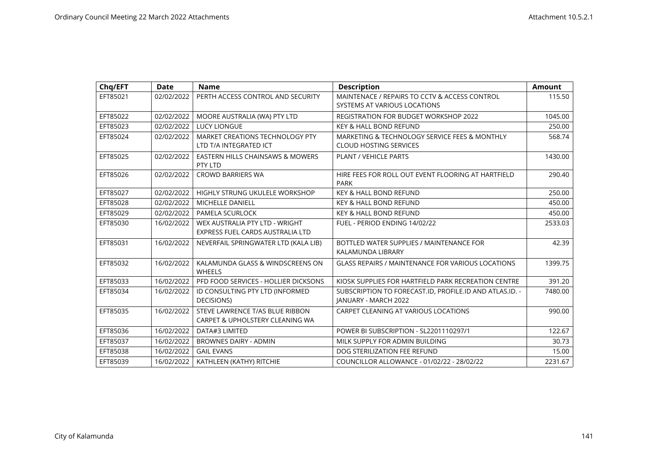| Chq/EFT  | <b>Date</b> | <b>Name</b>                                            | <b>Description</b>                                       | <b>Amount</b> |
|----------|-------------|--------------------------------------------------------|----------------------------------------------------------|---------------|
| EFT85021 | 02/02/2022  | PERTH ACCESS CONTROL AND SECURITY                      | MAINTENACE / REPAIRS TO CCTV & ACCESS CONTROL            | 115.50        |
|          |             |                                                        | SYSTEMS AT VARIOUS LOCATIONS                             |               |
| EFT85022 | 02/02/2022  | MOORE AUSTRALIA (WA) PTY LTD                           | <b>REGISTRATION FOR BUDGET WORKSHOP 2022</b>             | 1045.00       |
| EFT85023 | 02/02/2022  | <b>LUCY LIONGUE</b>                                    | <b>KEY &amp; HALL BOND REFUND</b>                        | 250.00        |
| EFT85024 | 02/02/2022  | MARKET CREATIONS TECHNOLOGY PTY                        | MARKETING & TECHNOLOGY SERVICE FEES & MONTHLY            | 568.74        |
|          |             | LTD T/A INTEGRATED ICT                                 | <b>CLOUD HOSTING SERVICES</b>                            |               |
| EFT85025 | 02/02/2022  | <b>EASTERN HILLS CHAINSAWS &amp; MOWERS</b><br>PTY LTD | <b>PLANT / VEHICLE PARTS</b>                             | 1430.00       |
| EFT85026 | 02/02/2022  | <b>CROWD BARRIERS WA</b>                               | HIRE FEES FOR ROLL OUT EVENT FLOORING AT HARTFIELD       | 290.40        |
|          |             |                                                        | <b>PARK</b>                                              |               |
| EFT85027 | 02/02/2022  | <b>HIGHLY STRUNG UKULELE WORKSHOP</b>                  | <b>KEY &amp; HALL BOND REFUND</b>                        | 250.00        |
| EFT85028 | 02/02/2022  | <b>MICHELLE DANIELL</b>                                | <b>KEY &amp; HALL BOND REFUND</b>                        | 450.00        |
| EFT85029 | 02/02/2022  | PAMELA SCURLOCK                                        | <b>KEY &amp; HALL BOND REFUND</b>                        | 450.00        |
| EFT85030 | 16/02/2022  | WEX AUSTRALIA PTY LTD - WRIGHT                         | FUEL - PERIOD ENDING 14/02/22                            | 2533.03       |
|          |             | EXPRESS FUEL CARDS AUSTRALIA LTD                       |                                                          |               |
| EFT85031 | 16/02/2022  | NEVERFAIL SPRINGWATER LTD (KALA LIB)                   | BOTTLED WATER SUPPLIES / MAINTENANCE FOR                 | 42.39         |
|          |             |                                                        | KALAMUNDA LIBRARY                                        |               |
| EFT85032 | 16/02/2022  | KALAMUNDA GLASS & WINDSCREENS ON                       | <b>GLASS REPAIRS / MAINTENANCE FOR VARIOUS LOCATIONS</b> | 1399.75       |
|          |             | <b>WHEELS</b>                                          |                                                          |               |
| EFT85033 | 16/02/2022  | PFD FOOD SERVICES - HOLLIER DICKSONS                   | KIOSK SUPPLIES FOR HARTFIELD PARK RECREATION CENTRE      | 391.20        |
| EFT85034 | 16/02/2022  | ID CONSULTING PTY LTD (INFORMED                        | SUBSCRIPTION TO FORECAST.ID, PROFILE.ID AND ATLAS.ID. -  | 7480.00       |
|          |             | DECISIONS)                                             | <b>JANUARY - MARCH 2022</b>                              |               |
| EFT85035 | 16/02/2022  | STEVE LAWRENCE T/AS BLUE RIBBON                        | CARPET CLEANING AT VARIOUS LOCATIONS                     | 990.00        |
|          |             | CARPET & UPHOLSTERY CLEANING WA                        |                                                          |               |
| EFT85036 | 16/02/2022  | DATA#3 LIMITED                                         | POWER BI SUBSCRIPTION - SL2201110297/1                   | 122.67        |
| EFT85037 | 16/02/2022  | <b>BROWNES DAIRY - ADMIN</b>                           | MILK SUPPLY FOR ADMIN BUILDING                           | 30.73         |
| EFT85038 | 16/02/2022  | <b>GAIL EVANS</b>                                      | DOG STERILIZATION FEE REFUND                             | 15.00         |
| EFT85039 | 16/02/2022  | KATHLEEN (KATHY) RITCHIE                               | COUNCILLOR ALLOWANCE - 01/02/22 - 28/02/22               | 2231.67       |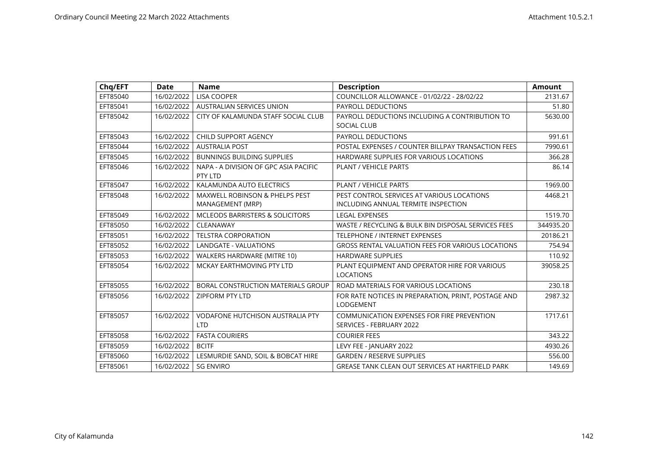| Chq/EFT  | <b>Date</b> | <b>Name</b>                                           | <b>Description</b>                                                     | <b>Amount</b> |
|----------|-------------|-------------------------------------------------------|------------------------------------------------------------------------|---------------|
| EFT85040 | 16/02/2022  | <b>LISA COOPER</b>                                    | COUNCILLOR ALLOWANCE - 01/02/22 - 28/02/22                             | 2131.67       |
| EFT85041 | 16/02/2022  | <b>AUSTRALIAN SERVICES UNION</b>                      | <b>PAYROLL DEDUCTIONS</b>                                              | 51.80         |
| EFT85042 | 16/02/2022  | CITY OF KALAMUNDA STAFF SOCIAL CLUB                   | PAYROLL DEDUCTIONS INCLUDING A CONTRIBUTION TO                         | 5630.00       |
|          |             |                                                       | <b>SOCIAL CLUB</b>                                                     |               |
| EFT85043 | 16/02/2022  | <b>CHILD SUPPORT AGENCY</b>                           | <b>PAYROLL DEDUCTIONS</b>                                              | 991.61        |
| EFT85044 | 16/02/2022  | <b>AUSTRALIA POST</b>                                 | POSTAL EXPENSES / COUNTER BILLPAY TRANSACTION FEES                     | 7990.61       |
| EFT85045 | 16/02/2022  | <b>BUNNINGS BUILDING SUPPLIES</b>                     | HARDWARE SUPPLIES FOR VARIOUS LOCATIONS                                | 366.28        |
| EFT85046 | 16/02/2022  | NAPA - A DIVISION OF GPC ASIA PACIFIC<br>PTY LTD      | <b>PLANT / VEHICLE PARTS</b>                                           | 86.14         |
| EFT85047 | 16/02/2022  | KALAMUNDA AUTO ELECTRICS                              | <b>PLANT / VEHICLE PARTS</b>                                           | 1969.00       |
| EFT85048 | 16/02/2022  | <b>MAXWELL ROBINSON &amp; PHELPS PEST</b>             | PEST CONTROL SERVICES AT VARIOUS LOCATIONS                             | 4468.21       |
|          |             | MANAGEMENT (MRP)                                      | INCLUDING ANNUAL TERMITE INSPECTION                                    |               |
| EFT85049 | 16/02/2022  | MCLEODS BARRISTERS & SOLICITORS                       | <b>LEGAL EXPENSES</b>                                                  | 1519.70       |
| EFT85050 | 16/02/2022  | CLEANAWAY                                             | WASTE / RECYCLING & BULK BIN DISPOSAL SERVICES FEES                    | 344935.20     |
| EFT85051 | 16/02/2022  | <b>TELSTRA CORPORATION</b>                            | <b>TELEPHONE / INTERNET EXPENSES</b>                                   | 20186.21      |
| EFT85052 | 16/02/2022  | <b>LANDGATE - VALUATIONS</b>                          | GROSS RENTAL VALUATION FEES FOR VARIOUS LOCATIONS                      | 754.94        |
| EFT85053 | 16/02/2022  | WALKERS HARDWARE (MITRE 10)                           | <b>HARDWARE SUPPLIES</b>                                               | 110.92        |
| EFT85054 | 16/02/2022  | MCKAY EARTHMOVING PTY LTD                             | PLANT EQUIPMENT AND OPERATOR HIRE FOR VARIOUS<br><b>LOCATIONS</b>      | 39058.25      |
| EFT85055 | 16/02/2022  | BORAL CONSTRUCTION MATERIALS GROUP                    | ROAD MATERIALS FOR VARIOUS LOCATIONS                                   | 230.18        |
| EFT85056 | 16/02/2022  | <b>ZIPFORM PTY LTD</b>                                | FOR RATE NOTICES IN PREPARATION, PRINT, POSTAGE AND<br>LODGEMENT       | 2987.32       |
| EFT85057 | 16/02/2022  | <b>VODAFONE HUTCHISON AUSTRALIA PTY</b><br><b>LTD</b> | COMMUNICATION EXPENSES FOR FIRE PREVENTION<br>SERVICES - FEBRUARY 2022 | 1717.61       |
| EFT85058 | 16/02/2022  | <b>FASTA COURIERS</b>                                 | <b>COURIER FEES</b>                                                    | 343.22        |
| EFT85059 | 16/02/2022  | <b>BCITF</b>                                          | LEVY FEE - JANUARY 2022                                                | 4930.26       |
| EFT85060 | 16/02/2022  | LESMURDIE SAND, SOIL & BOBCAT HIRE                    | <b>GARDEN / RESERVE SUPPLIES</b>                                       | 556.00        |
| EFT85061 | 16/02/2022  | <b>SG ENVIRO</b>                                      | GREASE TANK CLEAN OUT SERVICES AT HARTFIELD PARK                       | 149.69        |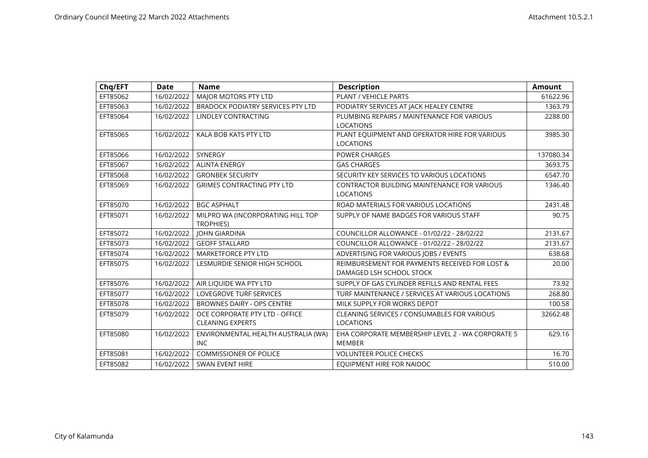| Chq/EFT  | <b>Date</b> | <b>Name</b>                              | <b>Description</b>                                 | <b>Amount</b> |
|----------|-------------|------------------------------------------|----------------------------------------------------|---------------|
| EFT85062 | 16/02/2022  | MAJOR MOTORS PTY LTD                     | PLANT / VEHICLE PARTS                              | 61622.96      |
| EFT85063 | 16/02/2022  | <b>BRADOCK PODIATRY SERVICES PTY LTD</b> | PODIATRY SERVICES AT JACK HEALEY CENTRE            | 1363.79       |
| EFT85064 | 16/02/2022  | LINDLEY CONTRACTING                      | PLUMBING REPAIRS / MAINTENANCE FOR VARIOUS         | 2288.00       |
|          |             |                                          | <b>LOCATIONS</b>                                   |               |
| EFT85065 | 16/02/2022  | KALA BOB KATS PTY LTD                    | PLANT EQUIPMENT AND OPERATOR HIRE FOR VARIOUS      | 3985.30       |
|          |             |                                          | <b>LOCATIONS</b>                                   |               |
| EFT85066 | 16/02/2022  | <b>SYNERGY</b>                           | <b>POWER CHARGES</b>                               | 137080.34     |
| EFT85067 | 16/02/2022  | <b>ALINTA ENERGY</b>                     | <b>GAS CHARGES</b>                                 | 3693.75       |
| EFT85068 | 16/02/2022  | <b>GRONBEK SECURITY</b>                  | SECURITY KEY SERVICES TO VARIOUS LOCATIONS         | 6547.70       |
| EFT85069 | 16/02/2022  | <b>GRIMES CONTRACTING PTY LTD</b>        | CONTRACTOR BUILDING MAINTENANCE FOR VARIOUS        | 1346.40       |
|          |             |                                          | <b>LOCATIONS</b>                                   |               |
| EFT85070 | 16/02/2022  | <b>BGC ASPHALT</b>                       | ROAD MATERIALS FOR VARIOUS LOCATIONS               | 2431.48       |
| EFT85071 | 16/02/2022  | MILPRO WA (INCORPORATING HILL TOP        | SUPPLY OF NAME BADGES FOR VARIOUS STAFF            | 90.75         |
|          |             | <b>TROPHIES)</b>                         |                                                    |               |
| EFT85072 | 16/02/2022  | <b>JOHN GIARDINA</b>                     | COUNCILLOR ALLOWANCE - 01/02/22 - 28/02/22         | 2131.67       |
| EFT85073 | 16/02/2022  | <b>GEOFF STALLARD</b>                    | COUNCILLOR ALLOWANCE - 01/02/22 - 28/02/22         | 2131.67       |
| EFT85074 | 16/02/2022  | MARKETFORCE PTY LTD                      | ADVERTISING FOR VARIOUS JOBS / EVENTS              | 638.68        |
| EFT85075 | 16/02/2022  | LESMURDIE SENIOR HIGH SCHOOL             | REIMBURSEMENT FOR PAYMENTS RECEIVED FOR LOST &     | 20.00         |
|          |             |                                          | DAMAGED LSH SCHOOL STOCK                           |               |
| EFT85076 | 16/02/2022  | AIR LIQUIDE WA PTY LTD                   | SUPPLY OF GAS CYLINDER REFILLS AND RENTAL FEES     | 73.92         |
| EFT85077 | 16/02/2022  | <b>LOVEGROVE TURF SERVICES</b>           | TURF MAINTENANCE / SERVICES AT VARIOUS LOCATIONS   | 268.80        |
| EFT85078 | 16/02/2022  | BROWNES DAIRY - OPS CENTRE               | MILK SUPPLY FOR WORKS DEPOT                        | 100.58        |
| EFT85079 | 16/02/2022  | OCE CORPORATE PTY LTD - OFFICE           | <b>CLEANING SERVICES / CONSUMABLES FOR VARIOUS</b> | 32662.48      |
|          |             | <b>CLEANING EXPERTS</b>                  | <b>LOCATIONS</b>                                   |               |
| EFT85080 | 16/02/2022  | ENVIRONMENTAL HEALTH AUSTRALIA (WA)      | EHA CORPORATE MEMBERSHIP LEVEL 2 - WA CORPORATE 5  | 629.16        |
|          |             | INC.                                     | <b>MEMBER</b>                                      |               |
| EFT85081 | 16/02/2022  | <b>COMMISSIONER OF POLICE</b>            | <b>VOLUNTEER POLICE CHECKS</b>                     | 16.70         |
| EFT85082 | 16/02/2022  | SWAN EVENT HIRE                          | EQUIPMENT HIRE FOR NAIDOC                          | 510.00        |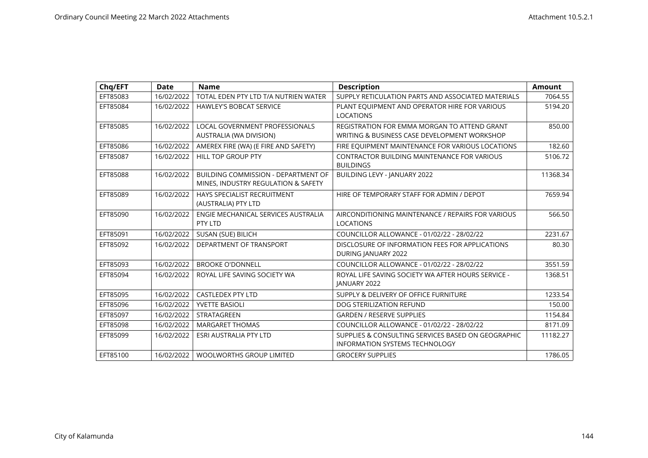| Chq/EFT  | <b>Date</b> | <b>Name</b>                                                                | <b>Description</b>                                                            | <b>Amount</b> |
|----------|-------------|----------------------------------------------------------------------------|-------------------------------------------------------------------------------|---------------|
| EFT85083 | 16/02/2022  | TOTAL EDEN PTY LTD T/A NUTRIEN WATER                                       | SUPPLY RETICULATION PARTS AND ASSOCIATED MATERIALS                            | 7064.55       |
| EFT85084 | 16/02/2022  | <b>HAWLEY'S BOBCAT SERVICE</b>                                             | PLANT EQUIPMENT AND OPERATOR HIRE FOR VARIOUS                                 | 5194.20       |
|          |             |                                                                            | <b>LOCATIONS</b>                                                              |               |
| EFT85085 | 16/02/2022  | <b>LOCAL GOVERNMENT PROFESSIONALS</b>                                      | REGISTRATION FOR EMMA MORGAN TO ATTEND GRANT                                  | 850.00        |
|          |             | AUSTRALIA (WA DIVISION)                                                    | WRITING & BUSINESS CASE DEVELOPMENT WORKSHOP                                  |               |
| EFT85086 | 16/02/2022  | AMEREX FIRE (WA) (E FIRE AND SAFETY)                                       | FIRE EQUIPMENT MAINTENANCE FOR VARIOUS LOCATIONS                              | 182.60        |
| EFT85087 | 16/02/2022  | HILL TOP GROUP PTY                                                         | <b>CONTRACTOR BUILDING MAINTENANCE FOR VARIOUS</b><br><b>BUILDINGS</b>        | 5106.72       |
| EFT85088 | 16/02/2022  | BUILDING COMMISSION - DEPARTMENT OF<br>MINES, INDUSTRY REGULATION & SAFETY | BUILDING LEVY - JANUARY 2022                                                  | 11368.34      |
| EFT85089 | 16/02/2022  | HAYS SPECIALIST RECRUITMENT<br>(AUSTRALIA) PTY LTD                         | HIRE OF TEMPORARY STAFF FOR ADMIN / DEPOT                                     | 7659.94       |
| EFT85090 | 16/02/2022  | ENGIE MECHANICAL SERVICES AUSTRALIA<br>PTY LTD                             | AIRCONDITIONING MAINTENANCE / REPAIRS FOR VARIOUS<br><b>LOCATIONS</b>         | 566.50        |
| EFT85091 | 16/02/2022  | SUSAN (SUE) BILICH                                                         | COUNCILLOR ALLOWANCE - 01/02/22 - 28/02/22                                    | 2231.67       |
| EFT85092 | 16/02/2022  | DEPARTMENT OF TRANSPORT                                                    | DISCLOSURE OF INFORMATION FEES FOR APPLICATIONS<br><b>DURING JANUARY 2022</b> | 80.30         |
| EFT85093 | 16/02/2022  | <b>BROOKE O'DONNELL</b>                                                    | COUNCILLOR ALLOWANCE - 01/02/22 - 28/02/22                                    | 3551.59       |
| EFT85094 | 16/02/2022  | ROYAL LIFE SAVING SOCIETY WA                                               | ROYAL LIFE SAVING SOCIETY WA AFTER HOURS SERVICE -<br><b>JANUARY 2022</b>     | 1368.51       |
| EFT85095 | 16/02/2022  | <b>CASTLEDEX PTY LTD</b>                                                   | SUPPLY & DELIVERY OF OFFICE FURNITURE                                         | 1233.54       |
| EFT85096 | 16/02/2022  | <b>YVETTE BASIOLI</b>                                                      | DOG STERILIZATION REFUND                                                      | 150.00        |
| EFT85097 | 16/02/2022  | STRATAGREEN                                                                | <b>GARDEN / RESERVE SUPPLIES</b>                                              | 1154.84       |
| EFT85098 | 16/02/2022  | <b>MARGARET THOMAS</b>                                                     | COUNCILLOR ALLOWANCE - 01/02/22 - 28/02/22                                    | 8171.09       |
| EFT85099 | 16/02/2022  | <b>ESRI AUSTRALIA PTY LTD</b>                                              | SUPPLIES & CONSULTING SERVICES BASED ON GEOGRAPHIC                            | 11182.27      |
|          |             |                                                                            | <b>INFORMATION SYSTEMS TECHNOLOGY</b>                                         |               |
| EFT85100 | 16/02/2022  | <b>WOOLWORTHS GROUP LIMITED</b>                                            | <b>GROCERY SUPPLIES</b>                                                       | 1786.05       |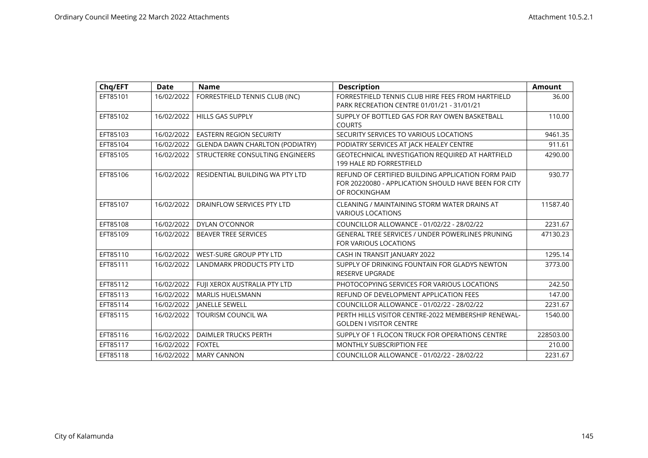| Chq/EFT  | <b>Date</b> | <b>Name</b>                            | <b>Description</b>                                      | <b>Amount</b> |
|----------|-------------|----------------------------------------|---------------------------------------------------------|---------------|
| EFT85101 | 16/02/2022  | FORRESTFIELD TENNIS CLUB (INC)         | FORRESTFIELD TENNIS CLUB HIRE FEES FROM HARTFIELD       | 36.00         |
|          |             |                                        | PARK RECREATION CENTRE 01/01/21 - 31/01/21              |               |
| EFT85102 | 16/02/2022  | <b>HILLS GAS SUPPLY</b>                | SUPPLY OF BOTTLED GAS FOR RAY OWEN BASKETBALL           | 110.00        |
|          |             |                                        | <b>COURTS</b>                                           |               |
| EFT85103 | 16/02/2022  | <b>EASTERN REGION SECURITY</b>         | SECURITY SERVICES TO VARIOUS LOCATIONS                  | 9461.35       |
| EFT85104 | 16/02/2022  | <b>GLENDA DAWN CHARLTON (PODIATRY)</b> | PODIATRY SERVICES AT JACK HEALEY CENTRE                 | 911.61        |
| EFT85105 | 16/02/2022  | STRUCTERRE CONSULTING ENGINEERS        | GEOTECHNICAL INVESTIGATION REQUIRED AT HARTFIELD        | 4290.00       |
|          |             |                                        | <b>199 HALE RD FORRESTFIELD</b>                         |               |
| EFT85106 | 16/02/2022  | RESIDENTIAL BUILDING WA PTY LTD        | REFUND OF CERTIFIED BUILDING APPLICATION FORM PAID      | 930.77        |
|          |             |                                        | FOR 20220080 - APPLICATION SHOULD HAVE BEEN FOR CITY    |               |
|          |             |                                        | OF ROCKINGHAM                                           |               |
| EFT85107 | 16/02/2022  | DRAINFLOW SERVICES PTY LTD             | CLEANING / MAINTAINING STORM WATER DRAINS AT            | 11587.40      |
|          |             |                                        | <b>VARIOUS LOCATIONS</b>                                |               |
| EFT85108 | 16/02/2022  | <b>DYLAN O'CONNOR</b>                  | COUNCILLOR ALLOWANCE - 01/02/22 - 28/02/22              | 2231.67       |
| EFT85109 | 16/02/2022  | <b>BEAVER TREE SERVICES</b>            | <b>GENERAL TREE SERVICES / UNDER POWERLINES PRUNING</b> | 47130.23      |
|          |             |                                        | FOR VARIOUS LOCATIONS                                   |               |
| EFT85110 | 16/02/2022  | WEST-SURE GROUP PTY LTD                | CASH IN TRANSIT JANUARY 2022                            | 1295.14       |
| EFT85111 | 16/02/2022  | LANDMARK PRODUCTS PTY LTD              | SUPPLY OF DRINKING FOUNTAIN FOR GLADYS NEWTON           | 3773.00       |
|          |             |                                        | <b>RESERVE UPGRADE</b>                                  |               |
| EFT85112 | 16/02/2022  | FUJI XEROX AUSTRALIA PTY LTD           | PHOTOCOPYING SERVICES FOR VARIOUS LOCATIONS             | 242.50        |
| EFT85113 | 16/02/2022  | <b>MARLIS HUELSMANN</b>                | REFUND OF DEVELOPMENT APPLICATION FEES                  | 147.00        |
| EFT85114 | 16/02/2022  | <b>JANELLE SEWELL</b>                  | COUNCILLOR ALLOWANCE - 01/02/22 - 28/02/22              | 2231.67       |
| EFT85115 | 16/02/2022  | <b>TOURISM COUNCIL WA</b>              | PERTH HILLS VISITOR CENTRE-2022 MEMBERSHIP RENEWAL-     | 1540.00       |
|          |             |                                        | <b>GOLDEN I VISITOR CENTRE</b>                          |               |
| EFT85116 | 16/02/2022  | <b>DAIMLER TRUCKS PERTH</b>            | SUPPLY OF 1 FLOCON TRUCK FOR OPERATIONS CENTRE          | 228503.00     |
| EFT85117 | 16/02/2022  | <b>FOXTEL</b>                          | <b>MONTHLY SUBSCRIPTION FEE</b>                         | 210.00        |
| EFT85118 | 16/02/2022  | <b>MARY CANNON</b>                     | COUNCILLOR ALLOWANCE - 01/02/22 - 28/02/22              | 2231.67       |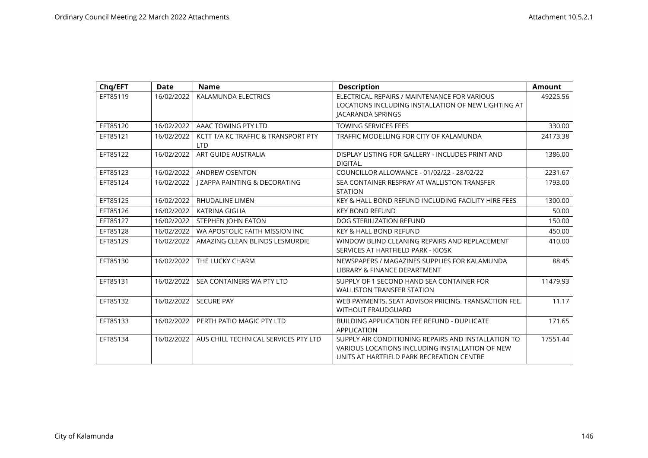| Chq/EFT  | <b>Date</b> | <b>Name</b>                                       | <b>Description</b>                                                                                                                                  | <b>Amount</b> |
|----------|-------------|---------------------------------------------------|-----------------------------------------------------------------------------------------------------------------------------------------------------|---------------|
| EFT85119 | 16/02/2022  | KALAMUNDA ELECTRICS                               | ELECTRICAL REPAIRS / MAINTENANCE FOR VARIOUS<br>LOCATIONS INCLUDING INSTALLATION OF NEW LIGHTING AT<br>JACARANDA SPRINGS                            | 49225.56      |
| EFT85120 | 16/02/2022  | AAAC TOWING PTY LTD                               | <b>TOWING SERVICES FEES</b>                                                                                                                         | 330.00        |
| EFT85121 | 16/02/2022  | KCTT T/A KC TRAFFIC & TRANSPORT PTY<br><b>LTD</b> | TRAFFIC MODELLING FOR CITY OF KALAMUNDA                                                                                                             | 24173.38      |
| EFT85122 | 16/02/2022  | ART GUIDE AUSTRALIA                               | DISPLAY LISTING FOR GALLERY - INCLUDES PRINT AND<br>DIGITAL.                                                                                        | 1386.00       |
| EFT85123 | 16/02/2022  | <b>ANDREW OSENTON</b>                             | COUNCILLOR ALLOWANCE - 01/02/22 - 28/02/22                                                                                                          | 2231.67       |
| EFT85124 | 16/02/2022  | I ZAPPA PAINTING & DECORATING                     | SEA CONTAINER RESPRAY AT WALLISTON TRANSFER<br><b>STATION</b>                                                                                       | 1793.00       |
| EFT85125 | 16/02/2022  | <b>RHUDALINE LIMEN</b>                            | KEY & HALL BOND REFUND INCLUDING FACILITY HIRE FEES                                                                                                 | 1300.00       |
| EFT85126 | 16/02/2022  | <b>KATRINA GIGLIA</b>                             | <b>KEY BOND REFUND</b>                                                                                                                              | 50.00         |
| EFT85127 | 16/02/2022  | STEPHEN JOHN EATON                                | DOG STERILIZATION REFUND                                                                                                                            | 150.00        |
| EFT85128 | 16/02/2022  | WA APOSTOLIC FAITH MISSION INC                    | <b>KEY &amp; HALL BOND REFUND</b>                                                                                                                   | 450.00        |
| EFT85129 | 16/02/2022  | AMAZING CLEAN BLINDS LESMURDIE                    | WINDOW BLIND CLEANING REPAIRS AND REPLACEMENT<br>SERVICES AT HARTFIELD PARK - KIOSK                                                                 | 410.00        |
| EFT85130 | 16/02/2022  | THE LUCKY CHARM                                   | NEWSPAPERS / MAGAZINES SUPPLIES FOR KALAMUNDA<br>LIBRARY & FINANCE DEPARTMENT                                                                       | 88.45         |
| EFT85131 | 16/02/2022  | SEA CONTAINERS WA PTY LTD                         | SUPPLY OF 1 SECOND HAND SEA CONTAINER FOR<br><b>WALLISTON TRANSFER STATION</b>                                                                      | 11479.93      |
| EFT85132 | 16/02/2022  | <b>SECURE PAY</b>                                 | WEB PAYMENTS. SEAT ADVISOR PRICING. TRANSACTION FEE.<br><b>WITHOUT FRAUDGUARD</b>                                                                   | 11.17         |
| EFT85133 | 16/02/2022  | PERTH PATIO MAGIC PTY LTD                         | <b>BUILDING APPLICATION FEE REFUND - DUPLICATE</b><br><b>APPLICATION</b>                                                                            | 171.65        |
| EFT85134 | 16/02/2022  | AUS CHILL TECHNICAL SERVICES PTY LTD              | SUPPLY AIR CONDITIONING REPAIRS AND INSTALLATION TO<br>VARIOUS LOCATIONS INCLUDING INSTALLATION OF NEW<br>UNITS AT HARTFIELD PARK RECREATION CENTRE | 17551.44      |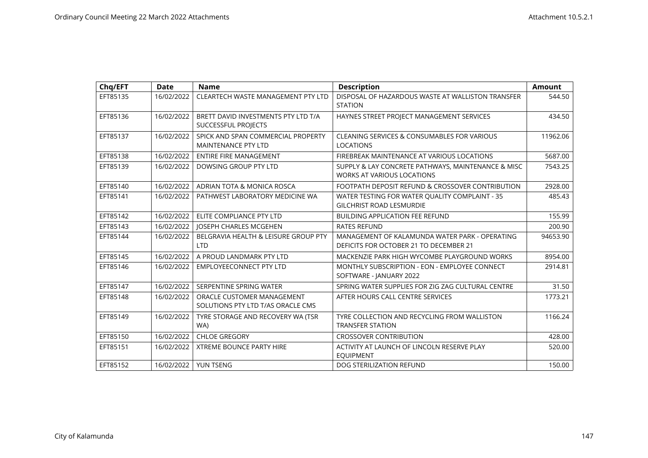| Chq/EFT  | <b>Date</b> | <b>Name</b>                                                      | <b>Description</b>                                                                       | <b>Amount</b> |
|----------|-------------|------------------------------------------------------------------|------------------------------------------------------------------------------------------|---------------|
| EFT85135 | 16/02/2022  | CLEARTECH WASTE MANAGEMENT PTY LTD                               | DISPOSAL OF HAZARDOUS WASTE AT WALLISTON TRANSFER<br><b>STATION</b>                      | 544.50        |
| EFT85136 | 16/02/2022  | BRETT DAVID INVESTMENTS PTY LTD T/A<br>SUCCESSFUL PROJECTS       | HAYNES STREET PROJECT MANAGEMENT SERVICES                                                | 434.50        |
| EFT85137 | 16/02/2022  | SPICK AND SPAN COMMERCIAL PROPERTY<br><b>MAINTENANCE PTY LTD</b> | <b>CLEANING SERVICES &amp; CONSUMABLES FOR VARIOUS</b><br><b>LOCATIONS</b>               | 11962.06      |
| EFT85138 | 16/02/2022  | <b>ENTIRE FIRE MANAGEMENT</b>                                    | FIREBREAK MAINTENANCE AT VARIOUS LOCATIONS                                               | 5687.00       |
| EFT85139 | 16/02/2022  | DOWSING GROUP PTY LTD                                            | SUPPLY & LAY CONCRETE PATHWAYS, MAINTENANCE & MISC<br>WORKS AT VARIOUS LOCATIONS         | 7543.25       |
| EFT85140 | 16/02/2022  | ADRIAN TOTA & MONICA ROSCA                                       | FOOTPATH DEPOSIT REFUND & CROSSOVER CONTRIBUTION                                         | 2928.00       |
| EFT85141 | 16/02/2022  | PATHWEST LABORATORY MEDICINE WA                                  | WATER TESTING FOR WATER QUALITY COMPLAINT - 35<br><b>GILCHRIST ROAD LESMURDIE</b>        | 485.43        |
| EFT85142 | 16/02/2022  | ELITE COMPLIANCE PTY LTD                                         | <b>BUILDING APPLICATION FEE REFUND</b>                                                   | 155.99        |
| EFT85143 | 16/02/2022  | JOSEPH CHARLES MCGEHEN                                           | <b>RATES REFUND</b>                                                                      | 200.90        |
| EFT85144 | 16/02/2022  | BELGRAVIA HEALTH & LEISURE GROUP PTY<br><b>LTD</b>               | MANAGEMENT OF KALAMUNDA WATER PARK - OPERATING<br>DEFICITS FOR OCTOBER 21 TO DECEMBER 21 | 94653.90      |
| EFT85145 | 16/02/2022  | A PROUD LANDMARK PTY LTD                                         | MACKENZIE PARK HIGH WYCOMBE PLAYGROUND WORKS                                             | 8954.00       |
| EFT85146 | 16/02/2022  | <b>EMPLOYEECONNECT PTY LTD</b>                                   | MONTHLY SUBSCRIPTION - EON - EMPLOYEE CONNECT<br>SOFTWARE - JANUARY 2022                 | 2914.81       |
| EFT85147 | 16/02/2022  | SERPENTINE SPRING WATER                                          | SPRING WATER SUPPLIES FOR ZIG ZAG CULTURAL CENTRE                                        | 31.50         |
| EFT85148 | 16/02/2022  | ORACLE CUSTOMER MANAGEMENT<br>SOLUTIONS PTY LTD T/AS ORACLE CMS  | AFTER HOURS CALL CENTRE SERVICES                                                         | 1773.21       |
| EFT85149 | 16/02/2022  | TYRE STORAGE AND RECOVERY WA (TSR<br>WA)                         | TYRE COLLECTION AND RECYCLING FROM WALLISTON<br><b>TRANSFER STATION</b>                  | 1166.24       |
| EFT85150 | 16/02/2022  | <b>CHLOE GREGORY</b>                                             | <b>CROSSOVER CONTRIBUTION</b>                                                            | 428.00        |
| EFT85151 | 16/02/2022  | <b>XTREME BOUNCE PARTY HIRE</b>                                  | ACTIVITY AT LAUNCH OF LINCOLN RESERVE PLAY<br><b>EOUIPMENT</b>                           | 520.00        |
| EFT85152 | 16/02/2022  | YUN TSENG                                                        | DOG STERILIZATION REFUND                                                                 | 150.00        |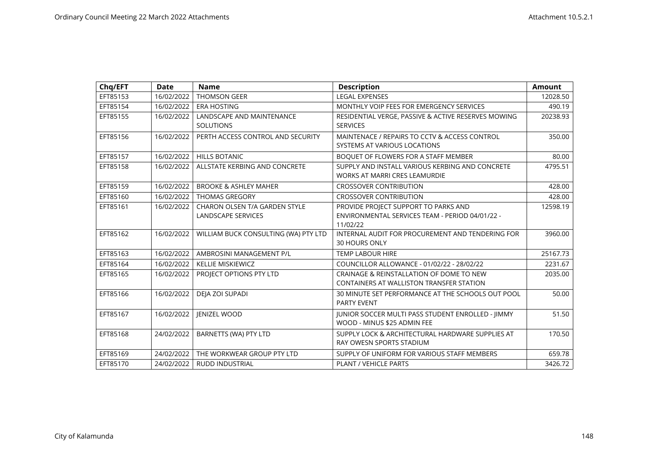| Chq/EFT  | <b>Date</b> | <b>Name</b>                                   | <b>Description</b>                                                                          | Amount   |
|----------|-------------|-----------------------------------------------|---------------------------------------------------------------------------------------------|----------|
| EFT85153 | 16/02/2022  | <b>THOMSON GEER</b>                           | <b>LEGAL EXPENSES</b>                                                                       | 12028.50 |
| EFT85154 | 16/02/2022  | <b>ERA HOSTING</b>                            | MONTHLY VOIP FEES FOR EMERGENCY SERVICES                                                    | 490.19   |
| EFT85155 | 16/02/2022  | LANDSCAPE AND MAINTENANCE<br><b>SOLUTIONS</b> | RESIDENTIAL VERGE, PASSIVE & ACTIVE RESERVES MOWING<br><b>SERVICES</b>                      | 20238.93 |
| EFT85156 | 16/02/2022  | PERTH ACCESS CONTROL AND SECURITY             | MAINTENACE / REPAIRS TO CCTV & ACCESS CONTROL<br>SYSTEMS AT VARIOUS LOCATIONS               | 350.00   |
| EFT85157 | 16/02/2022  | <b>HILLS BOTANIC</b>                          | BOQUET OF FLOWERS FOR A STAFF MEMBER                                                        | 80.00    |
| EFT85158 | 16/02/2022  | ALLSTATE KERBING AND CONCRETE                 | SUPPLY AND INSTALL VARIOUS KERBING AND CONCRETE<br><b>WORKS AT MARRI CRES LEAMURDIE</b>     | 4795.51  |
| EFT85159 | 16/02/2022  | <b>BROOKE &amp; ASHLEY MAHER</b>              | <b>CROSSOVER CONTRIBUTION</b>                                                               | 428.00   |
| EFT85160 | 16/02/2022  | <b>THOMAS GREGORY</b>                         | <b>CROSSOVER CONTRIBUTION</b>                                                               | 428.00   |
| EFT85161 | 16/02/2022  | CHARON OLSEN T/A GARDEN STYLE                 | PROVIDE PROJECT SUPPORT TO PARKS AND                                                        | 12598.19 |
|          |             | LANDSCAPE SERVICES                            | ENVIRONMENTAL SERVICES TEAM - PERIOD 04/01/22 -<br>11/02/22                                 |          |
| EFT85162 | 16/02/2022  | WILLIAM BUCK CONSULTING (WA) PTY LTD          | INTERNAL AUDIT FOR PROCUREMENT AND TENDERING FOR                                            | 3960.00  |
|          |             |                                               | <b>30 HOURS ONLY</b>                                                                        |          |
| EFT85163 | 16/02/2022  | AMBROSINI MANAGEMENT P/L                      | <b>TEMP LABOUR HIRE</b>                                                                     | 25167.73 |
| EFT85164 | 16/02/2022  | <b>KELLIE MISKIEWICZ</b>                      | COUNCILLOR ALLOWANCE - 01/02/22 - 28/02/22                                                  | 2231.67  |
| EFT85165 | 16/02/2022  | PROJECT OPTIONS PTY LTD                       | CRAINAGE & REINSTALLATION OF DOME TO NEW<br><b>CONTAINERS AT WALLISTON TRANSFER STATION</b> | 2035.00  |
| EFT85166 | 16/02/2022  | DEJA ZOI SUPADI                               | 30 MINUTE SET PERFORMANCE AT THE SCHOOLS OUT POOL<br><b>PARTY EVENT</b>                     | 50.00    |
| EFT85167 | 16/02/2022  | <b>JENIZEL WOOD</b>                           | <b>JUNIOR SOCCER MULTI PASS STUDENT ENROLLED - JIMMY</b><br>WOOD - MINUS \$25 ADMIN FEE     | 51.50    |
| EFT85168 | 24/02/2022  | BARNETTS (WA) PTY LTD                         | SUPPLY LOCK & ARCHITECTURAL HARDWARE SUPPLIES AT<br>RAY OWESN SPORTS STADIUM                | 170.50   |
| EFT85169 | 24/02/2022  | THE WORKWEAR GROUP PTY LTD                    | SUPPLY OF UNIFORM FOR VARIOUS STAFF MEMBERS                                                 | 659.78   |
| EFT85170 | 24/02/2022  | <b>RUDD INDUSTRIAL</b>                        | <b>PLANT / VEHICLE PARTS</b>                                                                | 3426.72  |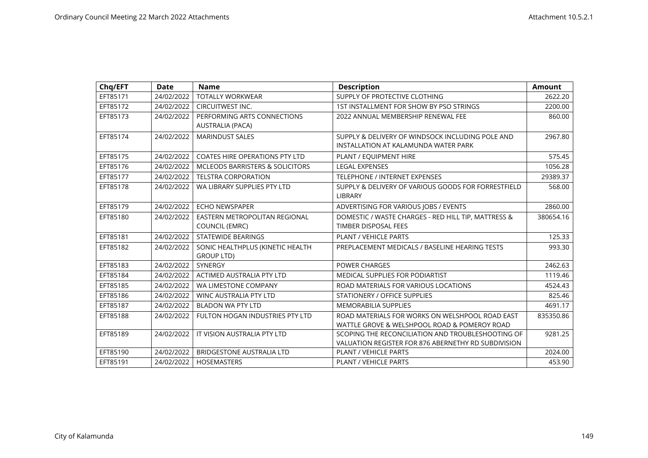| Chq/EFT  | <b>Date</b> | <b>Name</b>                                | <b>Description</b>                                  | <b>Amount</b> |
|----------|-------------|--------------------------------------------|-----------------------------------------------------|---------------|
| EFT85171 | 24/02/2022  | <b>TOTALLY WORKWEAR</b>                    | SUPPLY OF PROTECTIVE CLOTHING                       | 2622.20       |
| EFT85172 | 24/02/2022  | CIRCUITWEST INC.                           | 1ST INSTALLMENT FOR SHOW BY PSO STRINGS             | 2200.00       |
| EFT85173 | 24/02/2022  | PERFORMING ARTS CONNECTIONS                | 2022 ANNUAL MEMBERSHIP RENEWAL FEE                  | 860.00        |
|          |             | AUSTRALIA (PACA)                           |                                                     |               |
| EFT85174 | 24/02/2022  | <b>MARINDUST SALES</b>                     | SUPPLY & DELIVERY OF WINDSOCK INCLUDING POLE AND    | 2967.80       |
|          |             |                                            | INSTALLATION AT KALAMUNDA WATER PARK                |               |
| EFT85175 | 24/02/2022  | <b>COATES HIRE OPERATIONS PTY LTD</b>      | PLANT / EQUIPMENT HIRE                              | 575.45        |
| EFT85176 | 24/02/2022  | <b>MCLEODS BARRISTERS &amp; SOLICITORS</b> | <b>LEGAL EXPENSES</b>                               | 1056.28       |
| EFT85177 | 24/02/2022  | <b>TELSTRA CORPORATION</b>                 | <b>TELEPHONE / INTERNET EXPENSES</b>                | 29389.37      |
| EFT85178 | 24/02/2022  | WA LIBRARY SUPPLIES PTY LTD                | SUPPLY & DELIVERY OF VARIOUS GOODS FOR FORRESTFIELD | 568.00        |
|          |             |                                            | LIBRARY                                             |               |
| EFT85179 | 24/02/2022  | <b>ECHO NEWSPAPER</b>                      | ADVERTISING FOR VARIOUS JOBS / EVENTS               | 2860.00       |
| EFT85180 | 24/02/2022  | EASTERN METROPOLITAN REGIONAL              | DOMESTIC / WASTE CHARGES - RED HILL TIP, MATTRESS & | 380654.16     |
|          |             | <b>COUNCIL (EMRC)</b>                      | TIMBER DISPOSAL FEES                                |               |
| EFT85181 | 24/02/2022  | <b>STATEWIDE BEARINGS</b>                  | PLANT / VEHICLE PARTS                               | 125.33        |
| EFT85182 | 24/02/2022  | SONIC HEALTHPLUS (KINETIC HEALTH           | PREPLACEMENT MEDICALS / BASELINE HEARING TESTS      | 993.30        |
|          |             | <b>GROUP LTD)</b>                          |                                                     |               |
| EFT85183 | 24/02/2022  | <b>SYNERGY</b>                             | <b>POWER CHARGES</b>                                | 2462.63       |
| EFT85184 | 24/02/2022  | ACTIMED AUSTRALIA PTY LTD                  | MEDICAL SUPPLIES FOR PODIARTIST                     | 1119.46       |
| EFT85185 | 24/02/2022  | WA LIMESTONE COMPANY                       | ROAD MATERIALS FOR VARIOUS LOCATIONS                | 4524.43       |
| EFT85186 | 24/02/2022  | WINC AUSTRALIA PTY LTD                     | STATIONERY / OFFICE SUPPLIES                        | 825.46        |
| EFT85187 | 24/02/2022  | <b>BLADON WA PTY LTD</b>                   | <b>MEMORABILIA SUPPLIES</b>                         | 4691.17       |
| EFT85188 | 24/02/2022  | FULTON HOGAN INDUSTRIES PTY LTD            | ROAD MATERIALS FOR WORKS ON WELSHPOOL ROAD EAST     | 835350.86     |
|          |             |                                            | WATTLE GROVE & WELSHPOOL ROAD & POMEROY ROAD        |               |
| EFT85189 | 24/02/2022  | IT VISION AUSTRALIA PTY LTD                | SCOPING THE RECONCILIATION AND TROUBLESHOOTING OF   | 9281.25       |
|          |             |                                            | VALUATION REGISTER FOR 876 ABERNETHY RD SUBDIVISION |               |
| EFT85190 | 24/02/2022  | <b>BRIDGESTONE AUSTRALIA LTD</b>           | PLANT / VEHICLE PARTS                               | 2024.00       |
| EFT85191 | 24/02/2022  | <b>HOSEMASTERS</b>                         | <b>PLANT / VEHICLE PARTS</b>                        | 453.90        |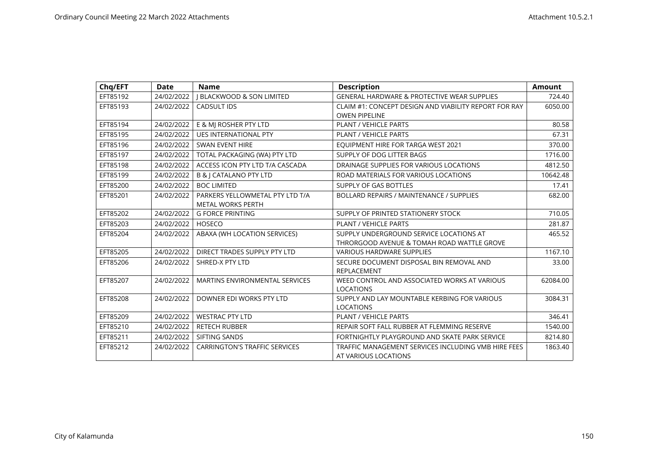| Chq/EFT  | <b>Date</b> | <b>Name</b>                           | <b>Description</b>                                    | <b>Amount</b> |
|----------|-------------|---------------------------------------|-------------------------------------------------------|---------------|
| EFT85192 | 24/02/2022  | <b>J BLACKWOOD &amp; SON LIMITED</b>  | GENERAL HARDWARE & PROTECTIVE WEAR SUPPLIES           | 724.40        |
| EFT85193 | 24/02/2022  | <b>CADSULT IDS</b>                    | CLAIM #1: CONCEPT DESIGN AND VIABILITY REPORT FOR RAY | 6050.00       |
|          |             |                                       | <b>OWEN PIPELINE</b>                                  |               |
| EFT85194 | 24/02/2022  | E & MJ ROSHER PTY LTD                 | <b>PLANT / VEHICLE PARTS</b>                          | 80.58         |
| EFT85195 | 24/02/2022  | <b>UES INTERNATIONAL PTY</b>          | <b>PLANT / VEHICLE PARTS</b>                          | 67.31         |
| EFT85196 | 24/02/2022  | <b>SWAN EVENT HIRE</b>                | EQUIPMENT HIRE FOR TARGA WEST 2021                    | 370.00        |
| EFT85197 | 24/02/2022  | TOTAL PACKAGING (WA) PTY LTD          | SUPPLY OF DOG LITTER BAGS                             | 1716.00       |
| EFT85198 | 24/02/2022  | ACCESS ICON PTY LTD T/A CASCADA       | DRAINAGE SUPPLIES FOR VARIOUS LOCATIONS               | 4812.50       |
| EFT85199 | 24/02/2022  | <b>B &amp;   CATALANO PTY LTD</b>     | ROAD MATERIALS FOR VARIOUS LOCATIONS                  | 10642.48      |
| EFT85200 | 24/02/2022  | <b>BOC LIMITED</b>                    | SUPPLY OF GAS BOTTLES                                 | 17.41         |
| EFT85201 | 24/02/2022  | PARKERS YELLOWMETAL PTY LTD T/A       | <b>BOLLARD REPAIRS / MAINTENANCE / SUPPLIES</b>       | 682.00        |
|          |             | <b>METAL WORKS PERTH</b>              |                                                       |               |
| EFT85202 | 24/02/2022  | <b>G FORCE PRINTING</b>               | SUPPLY OF PRINTED STATIONERY STOCK                    | 710.05        |
| EFT85203 | 24/02/2022  | <b>HOSECO</b>                         | PLANT / VEHICLE PARTS                                 | 281.87        |
| EFT85204 | 24/02/2022  | ABAXA (WH LOCATION SERVICES)          | SUPPLY UNDERGROUND SERVICE LOCATIONS AT               | 465.52        |
|          |             |                                       | THRORGOOD AVENUE & TOMAH ROAD WATTLE GROVE            |               |
| EFT85205 | 24/02/2022  | DIRECT TRADES SUPPLY PTY LTD          | <b>VARIOUS HARDWARE SUPPLIES</b>                      | 1167.10       |
| EFT85206 | 24/02/2022  | SHRED-X PTY LTD                       | SECURE DOCUMENT DISPOSAL BIN REMOVAL AND              | 33.00         |
|          |             |                                       | REPLACEMENT                                           |               |
| EFT85207 | 24/02/2022  | <b>MARTINS ENVIRONMENTAL SERVICES</b> | WEED CONTROL AND ASSOCIATED WORKS AT VARIOUS          | 62084.00      |
|          |             |                                       | <b>LOCATIONS</b>                                      |               |
| EFT85208 | 24/02/2022  | DOWNER EDI WORKS PTY LTD              | SUPPLY AND LAY MOUNTABLE KERBING FOR VARIOUS          | 3084.31       |
|          |             |                                       | <b>LOCATIONS</b>                                      |               |
| EFT85209 | 24/02/2022  | <b>WESTRAC PTY LTD</b>                | <b>PLANT / VEHICLE PARTS</b>                          | 346.41        |
| EFT85210 | 24/02/2022  | <b>RETECH RUBBER</b>                  | REPAIR SOFT FALL RUBBER AT FLEMMING RESERVE           | 1540.00       |
| EFT85211 | 24/02/2022  | SIFTING SANDS                         | FORTNIGHTLY PLAYGROUND AND SKATE PARK SERVICE         | 8214.80       |
| EFT85212 | 24/02/2022  | <b>CARRINGTON'S TRAFFIC SERVICES</b>  | TRAFFIC MANAGEMENT SERVICES INCLUDING VMB HIRE FEES   | 1863.40       |
|          |             |                                       | AT VARIOUS LOCATIONS                                  |               |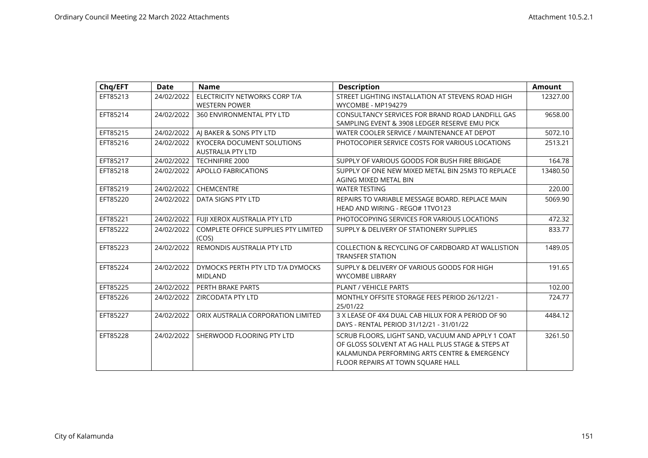| Chq/EFT  | <b>Date</b> | <b>Name</b>                                            | <b>Description</b>                                                                                                                                                                          | <b>Amount</b> |
|----------|-------------|--------------------------------------------------------|---------------------------------------------------------------------------------------------------------------------------------------------------------------------------------------------|---------------|
| EFT85213 | 24/02/2022  | ELECTRICITY NETWORKS CORP T/A                          | STREET LIGHTING INSTALLATION AT STEVENS ROAD HIGH                                                                                                                                           | 12327.00      |
|          |             | <b>WESTERN POWER</b>                                   | WYCOMBE - MP194279                                                                                                                                                                          |               |
| EFT85214 | 24/02/2022  | 360 ENVIRONMENTAL PTY LTD                              | CONSULTANCY SERVICES FOR BRAND ROAD LANDFILL GAS                                                                                                                                            | 9658.00       |
|          |             |                                                        | SAMPLING EVENT & 3908 LEDGER RESERVE EMU PICK                                                                                                                                               |               |
| EFT85215 | 24/02/2022  | AJ BAKER & SONS PTY LTD                                | WATER COOLER SERVICE / MAINTENANCE AT DEPOT                                                                                                                                                 | 5072.10       |
| EFT85216 | 24/02/2022  | KYOCERA DOCUMENT SOLUTIONS<br><b>AUSTRALIA PTY LTD</b> | PHOTOCOPIER SERVICE COSTS FOR VARIOUS LOCATIONS                                                                                                                                             | 2513.21       |
| EFT85217 | 24/02/2022  | <b>TECHNIFIRE 2000</b>                                 | SUPPLY OF VARIOUS GOODS FOR BUSH FIRE BRIGADE                                                                                                                                               | 164.78        |
| EFT85218 | 24/02/2022  | <b>APOLLO FABRICATIONS</b>                             | SUPPLY OF ONE NEW MIXED METAL BIN 25M3 TO REPLACE                                                                                                                                           | 13480.50      |
|          |             |                                                        | AGING MIXED METAL BIN                                                                                                                                                                       |               |
| EFT85219 | 24/02/2022  | <b>CHEMCENTRE</b>                                      | <b>WATER TESTING</b>                                                                                                                                                                        | 220.00        |
| EFT85220 | 24/02/2022  | DATA SIGNS PTY LTD                                     | REPAIRS TO VARIABLE MESSAGE BOARD. REPLACE MAIN                                                                                                                                             | 5069.90       |
|          |             |                                                        | HEAD AND WIRING - REGO# 1TVO123                                                                                                                                                             |               |
| EFT85221 | 24/02/2022  | FUJI XEROX AUSTRALIA PTY LTD                           | PHOTOCOPYING SERVICES FOR VARIOUS LOCATIONS                                                                                                                                                 | 472.32        |
| EFT85222 | 24/02/2022  | <b>COMPLETE OFFICE SUPPLIES PTY LIMITED</b><br>(COS)   | SUPPLY & DELIVERY OF STATIONERY SUPPLIES                                                                                                                                                    | 833.77        |
| EFT85223 | 24/02/2022  | REMONDIS AUSTRALIA PTY LTD                             | COLLECTION & RECYCLING OF CARDBOARD AT WALLISTION<br><b>TRANSFER STATION</b>                                                                                                                | 1489.05       |
| EFT85224 | 24/02/2022  | DYMOCKS PERTH PTY LTD T/A DYMOCKS<br><b>MIDLAND</b>    | SUPPLY & DELIVERY OF VARIOUS GOODS FOR HIGH<br><b>WYCOMBE LIBRARY</b>                                                                                                                       | 191.65        |
| EFT85225 | 24/02/2022  | PERTH BRAKE PARTS                                      | PLANT / VEHICLE PARTS                                                                                                                                                                       | 102.00        |
| EFT85226 | 24/02/2022  | <b>ZIRCODATA PTY LTD</b>                               | MONTHLY OFFSITE STORAGE FEES PERIOD 26/12/21 -<br>25/01/22                                                                                                                                  | 724.77        |
| EFT85227 | 24/02/2022  | ORIX AUSTRALIA CORPORATION LIMITED                     | 3 X LEASE OF 4X4 DUAL CAB HILUX FOR A PERIOD OF 90<br>DAYS - RENTAL PERIOD 31/12/21 - 31/01/22                                                                                              | 4484.12       |
| EFT85228 | 24/02/2022  | SHERWOOD FLOORING PTY LTD                              | SCRUB FLOORS, LIGHT SAND, VACUUM AND APPLY 1 COAT<br>OF GLOSS SOLVENT AT AG HALL PLUS STAGE & STEPS AT<br>KALAMUNDA PERFORMING ARTS CENTRE & EMERGENCY<br>FLOOR REPAIRS AT TOWN SOUARE HALL | 3261.50       |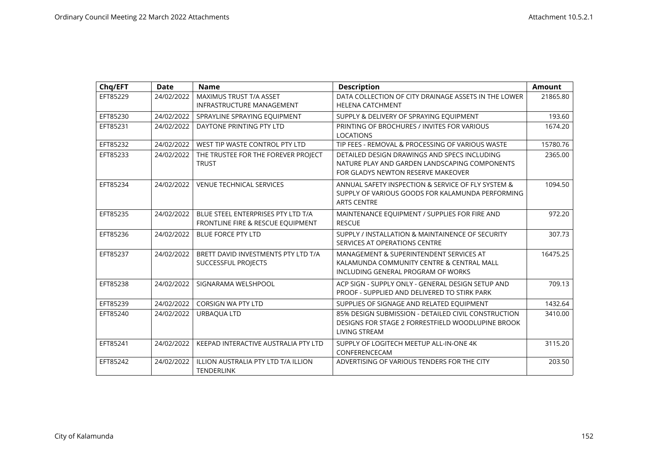| Chq/EFT  | <b>Date</b> | <b>Name</b>                                                             | <b>Description</b>                                                                                                                  | <b>Amount</b> |
|----------|-------------|-------------------------------------------------------------------------|-------------------------------------------------------------------------------------------------------------------------------------|---------------|
| EFT85229 | 24/02/2022  | MAXIMUS TRUST T/A ASSET<br><b>INFRASTRUCTURE MANAGEMENT</b>             | DATA COLLECTION OF CITY DRAINAGE ASSETS IN THE LOWER<br><b>HELENA CATCHMENT</b>                                                     | 21865.80      |
| EFT85230 | 24/02/2022  | SPRAYLINE SPRAYING EQUIPMENT                                            | SUPPLY & DELIVERY OF SPRAYING EQUIPMENT                                                                                             | 193.60        |
| EFT85231 | 24/02/2022  | DAYTONE PRINTING PTY LTD                                                | PRINTING OF BROCHURES / INVITES FOR VARIOUS<br><b>LOCATIONS</b>                                                                     | 1674.20       |
| EFT85232 | 24/02/2022  | WEST TIP WASTE CONTROL PTY LTD                                          | TIP FEES - REMOVAL & PROCESSING OF VARIOUS WASTE                                                                                    | 15780.76      |
| EFT85233 | 24/02/2022  | THE TRUSTEE FOR THE FOREVER PROJECT<br><b>TRUST</b>                     | DETAILED DESIGN DRAWINGS AND SPECS INCLUDING<br>NATURE PLAY AND GARDEN LANDSCAPING COMPONENTS<br>FOR GLADYS NEWTON RESERVE MAKEOVER | 2365.00       |
| EFT85234 | 24/02/2022  | <b>VENUE TECHNICAL SERVICES</b>                                         | ANNUAL SAFETY INSPECTION & SERVICE OF FLY SYSTEM &<br>SUPPLY OF VARIOUS GOODS FOR KALAMUNDA PERFORMING<br><b>ARTS CENTRE</b>        | 1094.50       |
| EFT85235 | 24/02/2022  | BLUE STEEL ENTERPRISES PTY LTD T/A<br>FRONTLINE FIRE & RESCUE EQUIPMENT | MAINTENANCE EQUIPMENT / SUPPLIES FOR FIRE AND<br><b>RESCUE</b>                                                                      | 972.20        |
| EFT85236 | 24/02/2022  | <b>BLUE FORCE PTY LTD</b>                                               | SUPPLY / INSTALLATION & MAINTAINENCE OF SECURITY<br>SERVICES AT OPERATIONS CENTRE                                                   | 307.73        |
| EFT85237 | 24/02/2022  | BRETT DAVID INVESTMENTS PTY LTD T/A<br>SUCCESSFUL PROJECTS              | MANAGEMENT & SUPERINTENDENT SERVICES AT<br>KALAMUNDA COMMUNITY CENTRE & CENTRAL MALL<br>INCLUDING GENERAL PROGRAM OF WORKS          | 16475.25      |
| EFT85238 | 24/02/2022  | SIGNARAMA WELSHPOOL                                                     | ACP SIGN - SUPPLY ONLY - GENERAL DESIGN SETUP AND<br>PROOF - SUPPLIED AND DELIVERED TO STIRK PARK                                   | 709.13        |
| EFT85239 | 24/02/2022  | <b>CORSIGN WA PTY LTD</b>                                               | SUPPLIES OF SIGNAGE AND RELATED EQUIPMENT                                                                                           | 1432.64       |
| EFT85240 | 24/02/2022  | URBAQUA LTD                                                             | 85% DESIGN SUBMISSION - DETAILED CIVIL CONSTRUCTION<br>DESIGNS FOR STAGE 2 FORRESTFIELD WOODLUPINE BROOK<br><b>LIVING STREAM</b>    | 3410.00       |
| EFT85241 | 24/02/2022  | KEEPAD INTERACTIVE AUSTRALIA PTY LTD                                    | SUPPLY OF LOGITECH MEETUP ALL-IN-ONE 4K<br>CONFERENCECAM                                                                            | 3115.20       |
| EFT85242 | 24/02/2022  | <b>ILLION AUSTRALIA PTY LTD T/A ILLION</b><br><b>TENDERLINK</b>         | ADVERTISING OF VARIOUS TENDERS FOR THE CITY                                                                                         | 203.50        |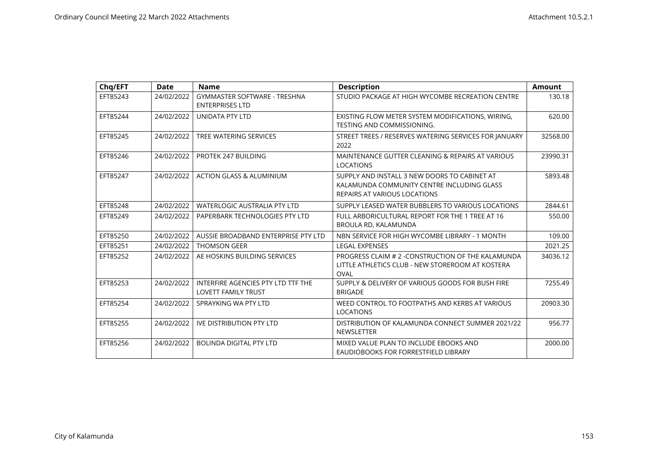| Chq/EFT  | <b>Date</b> | <b>Name</b>                                                      | <b>Description</b>                                                                                                         | <b>Amount</b> |
|----------|-------------|------------------------------------------------------------------|----------------------------------------------------------------------------------------------------------------------------|---------------|
| EFT85243 | 24/02/2022  | <b>GYMMASTER SOFTWARE - TRESHNA</b><br><b>ENTERPRISES LTD</b>    | STUDIO PACKAGE AT HIGH WYCOMBE RECREATION CENTRE                                                                           | 130.18        |
| EFT85244 | 24/02/2022  | <b>UNIDATA PTY LTD</b>                                           | EXISTING FLOW METER SYSTEM MODIFICATIONS, WIRING,<br><b>TESTING AND COMMISSIONING.</b>                                     | 620.00        |
| EFT85245 | 24/02/2022  | TREE WATERING SERVICES                                           | STREET TREES / RESERVES WATERING SERVICES FOR JANUARY<br>2022                                                              | 32568.00      |
| EFT85246 | 24/02/2022  | PROTEK 247 BUILDING                                              | MAINTENANCE GUTTER CLEANING & REPAIRS AT VARIOUS<br><b>LOCATIONS</b>                                                       | 23990.31      |
| EFT85247 | 24/02/2022  | <b>ACTION GLASS &amp; ALUMINIUM</b>                              | SUPPLY AND INSTALL 3 NEW DOORS TO CABINET AT<br>KALAMUNDA COMMUNITY CENTRE INCLUDING GLASS<br>REPAIRS AT VARIOUS LOCATIONS | 5893.48       |
| EFT85248 | 24/02/2022  | <b>WATERLOGIC AUSTRALIA PTY LTD</b>                              | SUPPLY LEASED WATER BUBBLERS TO VARIOUS LOCATIONS                                                                          | 2844.61       |
| EFT85249 | 24/02/2022  | PAPERBARK TECHNOLOGIES PTY LTD                                   | FULL ARBORICULTURAL REPORT FOR THE 1 TREE AT 16<br>BROULA RD, KALAMUNDA                                                    | 550.00        |
| EFT85250 | 24/02/2022  | AUSSIE BROADBAND ENTERPRISE PTY LTD                              | NBN SERVICE FOR HIGH WYCOMBE LIBRARY - 1 MONTH                                                                             | 109.00        |
| EFT85251 | 24/02/2022  | <b>THOMSON GEER</b>                                              | <b>LEGAL EXPENSES</b>                                                                                                      | 2021.25       |
| EFT85252 | 24/02/2022  | AE HOSKINS BUILDING SERVICES                                     | PROGRESS CLAIM # 2 - CONSTRUCTION OF THE KALAMUNDA<br>LITTLE ATHLETICS CLUB - NEW STOREROOM AT KOSTERA<br><b>OVAL</b>      | 34036.12      |
| EFT85253 | 24/02/2022  | INTERFIRE AGENCIES PTY LTD TTF THE<br><b>LOVETT FAMILY TRUST</b> | SUPPLY & DELIVERY OF VARIOUS GOODS FOR BUSH FIRE<br><b>BRIGADE</b>                                                         | 7255.49       |
| EFT85254 | 24/02/2022  | SPRAYKING WA PTY LTD                                             | WEED CONTROL TO FOOTPATHS AND KERBS AT VARIOUS<br><b>LOCATIONS</b>                                                         | 20903.30      |
| EFT85255 | 24/02/2022  | <b>IVE DISTRIBUTION PTY LTD</b>                                  | DISTRIBUTION OF KALAMUNDA CONNECT SUMMER 2021/22<br><b>NEWSLETTER</b>                                                      | 956.77        |
| EFT85256 | 24/02/2022  | <b>BOLINDA DIGITAL PTY LTD</b>                                   | MIXED VALUE PLAN TO INCLUDE EBOOKS AND<br>EAUDIOBOOKS FOR FORRESTFIELD LIBRARY                                             | 2000.00       |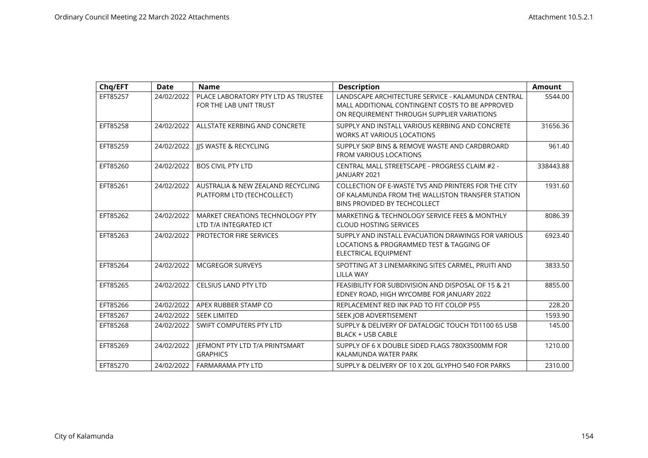| Chq/EFT  | <b>Date</b> | <b>Name</b>                                                     | <b>Description</b>                                                                                                                                  | <b>Amount</b> |
|----------|-------------|-----------------------------------------------------------------|-----------------------------------------------------------------------------------------------------------------------------------------------------|---------------|
| EFT85257 | 24/02/2022  | PLACE LABORATORY PTY LTD AS TRUSTEE<br>FOR THE LAB UNIT TRUST   | LANDSCAPE ARCHITECTURE SERVICE - KALAMUNDA CENTRAL<br>MALL ADDITIONAL CONTINGENT COSTS TO BE APPROVED<br>ON REQUIREMENT THROUGH SUPPLIER VARIATIONS | 5544.00       |
| EFT85258 | 24/02/2022  | ALLSTATE KERBING AND CONCRETE                                   | SUPPLY AND INSTALL VARIOUS KERBING AND CONCRETE<br><b>WORKS AT VARIOUS LOCATIONS</b>                                                                | 31656.36      |
| EFT85259 | 24/02/2022  | JJS WASTE & RECYCLING                                           | SUPPLY SKIP BINS & REMOVE WASTE AND CARDBROARD<br><b>FROM VARIOUS LOCATIONS</b>                                                                     | 961.40        |
| EFT85260 | 24/02/2022  | <b>BOS CIVIL PTY LTD</b>                                        | CENTRAL MALL STREETSCAPE - PROGRESS CLAIM #2 -<br>IANUARY 2021                                                                                      | 338443.88     |
| EFT85261 | 24/02/2022  | AUSTRALIA & NEW ZEALAND RECYCLING<br>PLATFORM LTD (TECHCOLLECT) | COLLECTION OF E-WASTE TVS AND PRINTERS FOR THE CITY<br>OF KALAMUNDA FROM THE WALLISTON TRANSFER STATION<br>BINS PROVIDED BY TECHCOLLECT             | 1931.60       |
| EFT85262 | 24/02/2022  | MARKET CREATIONS TECHNOLOGY PTY<br>LTD T/A INTEGRATED ICT       | MARKETING & TECHNOLOGY SERVICE FEES & MONTHLY<br><b>CLOUD HOSTING SERVICES</b>                                                                      | 8086.39       |
| EFT85263 | 24/02/2022  | <b>PROTECTOR FIRE SERVICES</b>                                  | SUPPLY AND INSTALL EVACUATION DRAWINGS FOR VARIOUS<br>LOCATIONS & PROGRAMMED TEST & TAGGING OF<br>ELECTRICAL EQUIPMENT                              | 6923.40       |
| EFT85264 | 24/02/2022  | <b>MCGREGOR SURVEYS</b>                                         | SPOTTING AT 3 LINEMARKING SITES CARMEL, PRUITI AND<br><b>LILLA WAY</b>                                                                              | 3833.50       |
| EFT85265 | 24/02/2022  | <b>CELSIUS LAND PTY LTD</b>                                     | FEASIBILITY FOR SUBDIVISION AND DISPOSAL OF 15 & 21<br>EDNEY ROAD, HIGH WYCOMBE FOR JANUARY 2022                                                    | 8855.00       |
| EFT85266 | 24/02/2022  | APEX RUBBER STAMP CO                                            | REPLACEMENT RED INK PAD TO FIT COLOP P55                                                                                                            | 228.20        |
| EFT85267 | 24/02/2022  | <b>SEEK LIMITED</b>                                             | SEEK JOB ADVERTISEMENT                                                                                                                              | 1593.90       |
| EFT85268 | 24/02/2022  | SWIFT COMPUTERS PTY LTD                                         | SUPPLY & DELIVERY OF DATALOGIC TOUCH TD1100 65 USB<br><b>BLACK + USB CABLE</b>                                                                      | 145.00        |
| EFT85269 | 24/02/2022  | JEFMONT PTY LTD T/A PRINTSMART<br><b>GRAPHICS</b>               | SUPPLY OF 6 X DOUBLE SIDED FLAGS 780X3500MM FOR<br>KALAMUNDA WATER PARK                                                                             | 1210.00       |
| EFT85270 | 24/02/2022  | <b>FARMARAMA PTY LTD</b>                                        | SUPPLY & DELIVERY OF 10 X 20L GLYPHO 540 FOR PARKS                                                                                                  | 2310.00       |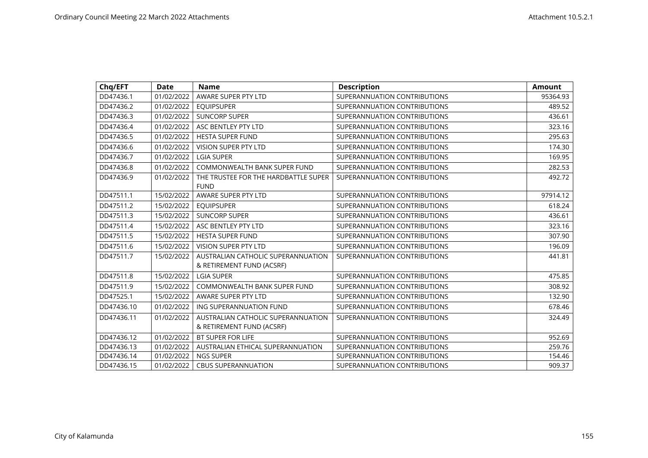| Chq/EFT    | <b>Date</b> | <b>Name</b>                                                     | <b>Description</b>           | <b>Amount</b> |
|------------|-------------|-----------------------------------------------------------------|------------------------------|---------------|
| DD47436.1  | 01/02/2022  | AWARE SUPER PTY LTD                                             | SUPERANNUATION CONTRIBUTIONS | 95364.93      |
| DD47436.2  | 01/02/2022  | <b>EQUIPSUPER</b>                                               | SUPERANNUATION CONTRIBUTIONS | 489.52        |
| DD47436.3  | 01/02/2022  | <b>SUNCORP SUPER</b>                                            | SUPERANNUATION CONTRIBUTIONS | 436.61        |
| DD47436.4  | 01/02/2022  | ASC BENTLEY PTY LTD                                             | SUPERANNUATION CONTRIBUTIONS | 323.16        |
| DD47436.5  | 01/02/2022  | <b>HESTA SUPER FUND</b>                                         | SUPERANNUATION CONTRIBUTIONS | 295.63        |
| DD47436.6  | 01/02/2022  | <b>VISION SUPER PTY LTD</b>                                     | SUPERANNUATION CONTRIBUTIONS | 174.30        |
| DD47436.7  | 01/02/2022  | <b>LGIA SUPER</b>                                               | SUPERANNUATION CONTRIBUTIONS | 169.95        |
| DD47436.8  | 01/02/2022  | <b>COMMONWEALTH BANK SUPER FUND</b>                             | SUPERANNUATION CONTRIBUTIONS | 282.53        |
| DD47436.9  | 01/02/2022  | THE TRUSTEE FOR THE HARDBATTLE SUPER<br><b>FUND</b>             | SUPERANNUATION CONTRIBUTIONS | 492.72        |
| DD47511.1  | 15/02/2022  | AWARE SUPER PTY LTD                                             | SUPERANNUATION CONTRIBUTIONS | 97914.12      |
| DD47511.2  | 15/02/2022  | <b>EQUIPSUPER</b>                                               | SUPERANNUATION CONTRIBUTIONS | 618.24        |
| DD47511.3  | 15/02/2022  | <b>SUNCORP SUPER</b>                                            | SUPERANNUATION CONTRIBUTIONS | 436.61        |
| DD47511.4  | 15/02/2022  | ASC BENTLEY PTY LTD                                             | SUPERANNUATION CONTRIBUTIONS | 323.16        |
| DD47511.5  | 15/02/2022  | <b>HESTA SUPER FUND</b>                                         | SUPERANNUATION CONTRIBUTIONS | 307.90        |
| DD47511.6  | 15/02/2022  | <b>VISION SUPER PTY LTD</b>                                     | SUPERANNUATION CONTRIBUTIONS | 196.09        |
| DD47511.7  | 15/02/2022  | AUSTRALIAN CATHOLIC SUPERANNUATION<br>& RETIREMENT FUND (ACSRF) | SUPERANNUATION CONTRIBUTIONS | 441.81        |
| DD47511.8  | 15/02/2022  | <b>LGIA SUPER</b>                                               | SUPERANNUATION CONTRIBUTIONS | 475.85        |
| DD47511.9  | 15/02/2022  | <b>COMMONWEALTH BANK SUPER FUND</b>                             | SUPERANNUATION CONTRIBUTIONS | 308.92        |
| DD47525.1  | 15/02/2022  | AWARE SUPER PTY LTD                                             | SUPERANNUATION CONTRIBUTIONS | 132.90        |
| DD47436.10 | 01/02/2022  | ING SUPERANNUATION FUND                                         | SUPERANNUATION CONTRIBUTIONS | 678.46        |
| DD47436.11 | 01/02/2022  | AUSTRALIAN CATHOLIC SUPERANNUATION<br>& RETIREMENT FUND (ACSRF) | SUPERANNUATION CONTRIBUTIONS | 324.49        |
| DD47436.12 | 01/02/2022  | <b>BT SUPER FOR LIFE</b>                                        | SUPERANNUATION CONTRIBUTIONS | 952.69        |
| DD47436.13 | 01/02/2022  | AUSTRALIAN ETHICAL SUPERANNUATION                               | SUPERANNUATION CONTRIBUTIONS | 259.76        |
| DD47436.14 | 01/02/2022  | <b>NGS SUPER</b>                                                | SUPERANNUATION CONTRIBUTIONS | 154.46        |
| DD47436.15 | 01/02/2022  | <b>CBUS SUPERANNUATION</b>                                      | SUPERANNUATION CONTRIBUTIONS | 909.37        |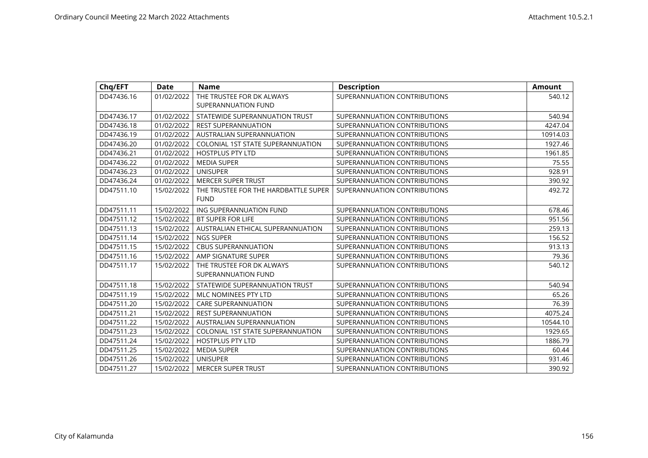| Chq/EFT    | <b>Date</b> | <b>Name</b>                              | <b>Description</b>           | <b>Amount</b> |
|------------|-------------|------------------------------------------|------------------------------|---------------|
| DD47436.16 | 01/02/2022  | THE TRUSTEE FOR DK ALWAYS                | SUPERANNUATION CONTRIBUTIONS | 540.12        |
|            |             | SUPERANNUATION FUND                      |                              |               |
| DD47436.17 | 01/02/2022  | STATEWIDE SUPERANNUATION TRUST           | SUPERANNUATION CONTRIBUTIONS | 540.94        |
| DD47436.18 | 01/02/2022  | <b>REST SUPERANNUATION</b>               | SUPERANNUATION CONTRIBUTIONS | 4247.04       |
| DD47436.19 | 01/02/2022  | AUSTRALIAN SUPERANNUATION                | SUPERANNUATION CONTRIBUTIONS | 10914.03      |
| DD47436.20 | 01/02/2022  | <b>COLONIAL 1ST STATE SUPERANNUATION</b> | SUPERANNUATION CONTRIBUTIONS | 1927.46       |
| DD47436.21 | 01/02/2022  | <b>HOSTPLUS PTY LTD</b>                  | SUPERANNUATION CONTRIBUTIONS | 1961.85       |
| DD47436.22 | 01/02/2022  | <b>MEDIA SUPER</b>                       | SUPERANNUATION CONTRIBUTIONS | 75.55         |
| DD47436.23 | 01/02/2022  | <b>UNISUPER</b>                          | SUPERANNUATION CONTRIBUTIONS | 928.91        |
| DD47436.24 | 01/02/2022  | <b>MERCER SUPER TRUST</b>                | SUPERANNUATION CONTRIBUTIONS | 390.92        |
| DD47511.10 | 15/02/2022  | THE TRUSTEE FOR THE HARDBATTLE SUPER     | SUPERANNUATION CONTRIBUTIONS | 492.72        |
|            |             | <b>FUND</b>                              |                              |               |
| DD47511.11 | 15/02/2022  | ING SUPERANNUATION FUND                  | SUPERANNUATION CONTRIBUTIONS | 678.46        |
| DD47511.12 | 15/02/2022  | <b>BT SUPER FOR LIFE</b>                 | SUPERANNUATION CONTRIBUTIONS | 951.56        |
| DD47511.13 | 15/02/2022  | AUSTRALIAN ETHICAL SUPERANNUATION        | SUPERANNUATION CONTRIBUTIONS | 259.13        |
| DD47511.14 | 15/02/2022  | <b>NGS SUPER</b>                         | SUPERANNUATION CONTRIBUTIONS | 156.52        |
| DD47511.15 | 15/02/2022  | <b>CBUS SUPERANNUATION</b>               | SUPERANNUATION CONTRIBUTIONS | 913.13        |
| DD47511.16 | 15/02/2022  | AMP SIGNATURE SUPER                      | SUPERANNUATION CONTRIBUTIONS | 79.36         |
| DD47511.17 | 15/02/2022  | THE TRUSTEE FOR DK ALWAYS                | SUPERANNUATION CONTRIBUTIONS | 540.12        |
|            |             | SUPERANNUATION FUND                      |                              |               |
| DD47511.18 | 15/02/2022  | STATEWIDE SUPERANNUATION TRUST           | SUPERANNUATION CONTRIBUTIONS | 540.94        |
| DD47511.19 | 15/02/2022  | MLC NOMINEES PTY LTD                     | SUPERANNUATION CONTRIBUTIONS | 65.26         |
| DD47511.20 | 15/02/2022  | <b>CARE SUPERANNUATION</b>               | SUPERANNUATION CONTRIBUTIONS | 76.39         |
| DD47511.21 | 15/02/2022  | <b>REST SUPERANNUATION</b>               | SUPERANNUATION CONTRIBUTIONS | 4075.24       |
| DD47511.22 | 15/02/2022  | AUSTRALIAN SUPERANNUATION                | SUPERANNUATION CONTRIBUTIONS | 10544.10      |
| DD47511.23 | 15/02/2022  | <b>COLONIAL 1ST STATE SUPERANNUATION</b> | SUPERANNUATION CONTRIBUTIONS | 1929.65       |
| DD47511.24 | 15/02/2022  | <b>HOSTPLUS PTY LTD</b>                  | SUPERANNUATION CONTRIBUTIONS | 1886.79       |
| DD47511.25 | 15/02/2022  | <b>MEDIA SUPER</b>                       | SUPERANNUATION CONTRIBUTIONS | 60.44         |
| DD47511.26 | 15/02/2022  | <b>UNISUPER</b>                          | SUPERANNUATION CONTRIBUTIONS | 931.46        |
| DD47511.27 | 15/02/2022  | <b>MERCER SUPER TRUST</b>                | SUPERANNUATION CONTRIBUTIONS | 390.92        |